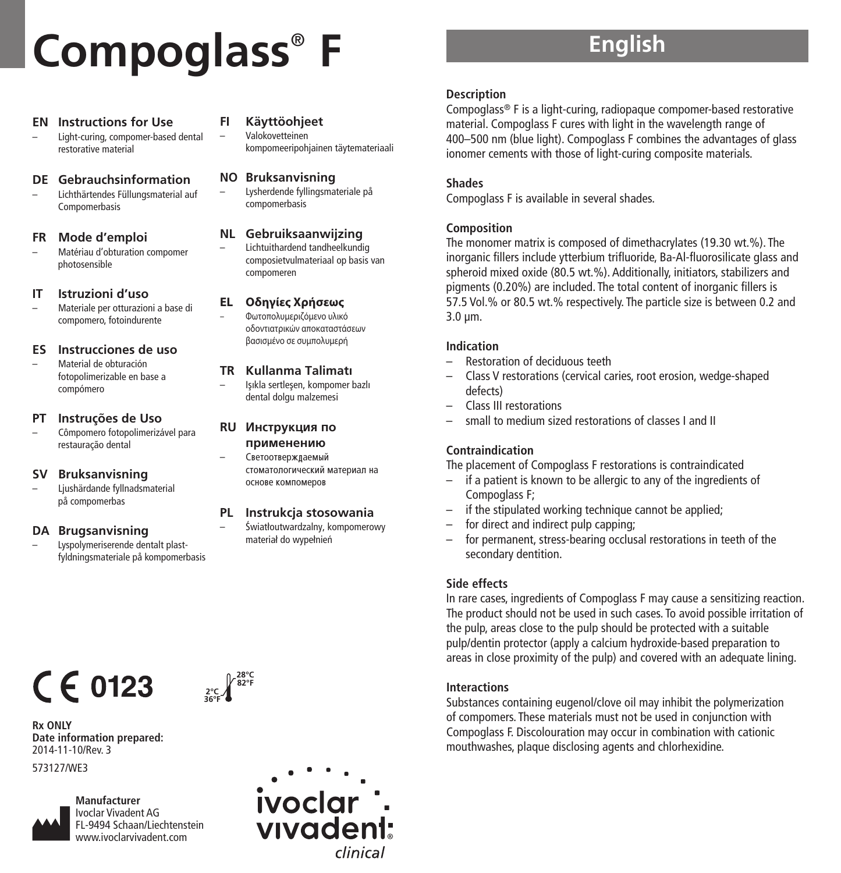# **Compoglass** ® **F**

#### **EN Instructions for Use**

– Light-curing, compomer-based dental restorative material

#### **DE Gebrauchsinformation**

– Lichthärtendes Füllungsmaterial auf Compomerbasis

#### **FR Mode d'emploi**

– Matériau d'obturation compomer photosensible

#### **IT Istruzioni d'uso**

– Materiale per otturazioni a base di compomero, fotoindurente

#### **ES Instrucciones de uso**

– Material de obturación fotopolimerizable en base a compómero

#### **PT Instruções de Uso**

– Cômpomero fotopolimerizável para restauração dental

#### **SV Bruksanvisning**

– Ljushärdande fyllnadsmaterial på compomerbas

#### **DA Brugsanvisning**

**Date information prepared:** 2014-11-10/Rev. 3 573127/WE3

 $C \in 0123$ 

– Lyspolymeriserende dentalt plastfyldningsmateriale på kompomerbasis

### **FI Käyttöohjeet**

– Valokovetteinen kompomeeripohjainen täytemateriaali

### **NO Bruksanvisning**

– Lysherdende fyllingsmateriale på compomerbasis

### **NL Gebruiksaanwijzing**

– Lichtuithardend tandheelkundig composietvulmateriaal op basis van compomeren

#### **EL Oδηγίες Xρήσεως**

– Φωτοπολυμεριζόμενο υλικό οδοντιατρικών αποκαταστάσεων βασισμένο σε συμπολυμερή

#### **TR Kullanma Talimatı**

– Iflıkla sertleflen, kompomer bazlı dental dolgu malzemesi

#### **RU** Инструкция по **ПРИМЕНЕНИЮ**

стоматологический материал на OCHORE KOMFIOMEDOR

#### **PL Instrukcja stosowania**

Światłoutwardzalny, kompomerowy materiał do wypełnień

Светоотвержлаемый

- -

# **English**

#### **Description**

Compoglass® F is a light-curing, radiopaque compomer-based restorative material. Compoglass F cures with light in the wavelength range of 400–500 nm (blue light). Compoglass F combines the advantages of glass ionomer cements with those of light-curing composite materials.

#### **Shades**

Compoglass F is available in several shades.

#### **Composition**

The monomer matrix is composed of dimethacrylates (19.30 wt.%). The inorganic fillers include ytterbium trifluoride, Ba-Al-fluorosilicate glass and spheroid mixed oxide (80.5 wt.%). Additionally, initiators, stabilizers and pigments (0.20%) are included. The total content of inorganic fillers is 57.5 Vol.% or 80.5 wt.% respectively. The particle size is between 0.2 and 3.0 µm.

#### **Indication**

- Restoration of deciduous teeth
- Class V restorations (cervical caries, root erosion, wedge-shaped defects)
- Class III restorations
- small to medium sized restorations of classes I and II

### **Contraindication**

The placement of Compoglass F restorations is contraindicated

- if a patient is known to be allergic to any of the ingredients of Compoglass F;
- if the stipulated working technique cannot be applied;
- for direct and indirect pulp capping;
- for permanent, stress-bearing occlusal restorations in teeth of the secondary dentition.

### **Side effects**

In rare cases, ingredients of Compoglass F may cause a sensitizing reaction. The product should not be used in such cases. To avoid possible irritation of the pulp, areas close to the pulp should be protected with a suitable pulp/dentin protector (apply a calcium hydroxide-based preparation to areas in close proximity of the pulp) and covered with an adequate lining.

### **Interactions**

Substances containing eugenol/clove oil may inhibit the polymerization of compomers. These materials must not be used in conjunction with Compoglass F. Discolouration may occur in combination with cationic mouthwashes, plaque disclosing agents and chlorhexidine.

**Rx ONLY**

**Manufacturer** Ivoclar Vivadent AG FL-9494 Schaan/Liechtenstein www.ivoclarvivadent.com

**2°C 36°F 28°C 82°F**

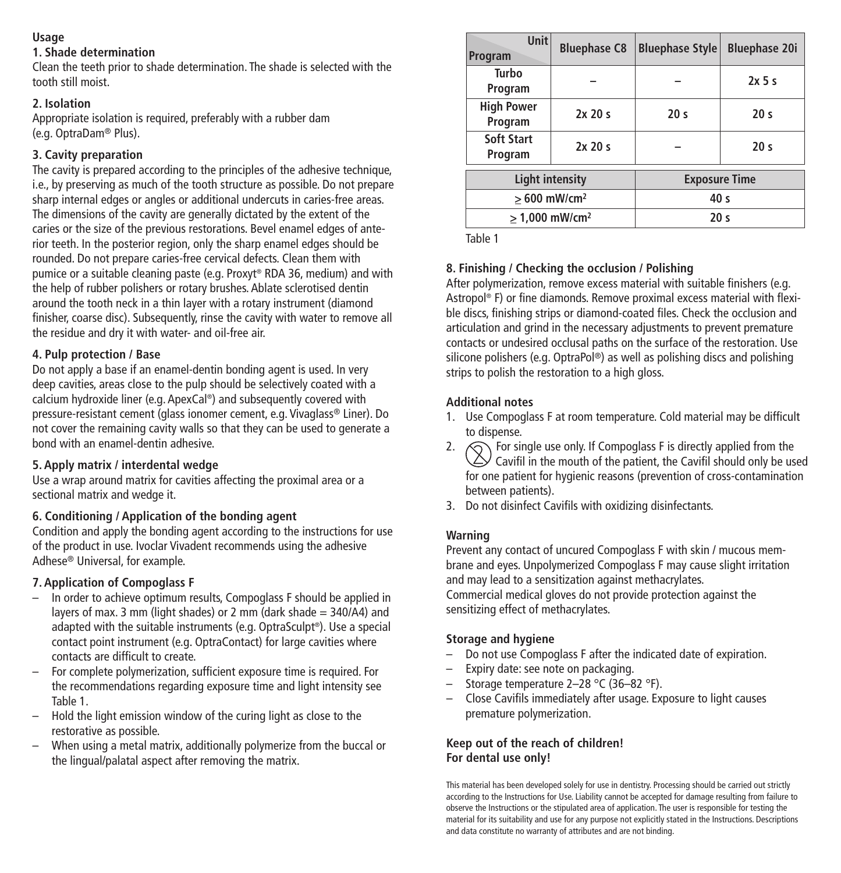### **Usage**

### **1. Shade determination**

Clean the teeth prior to shade determination. The shade is selected with the tooth still moist.

### **2. Isolation**

Appropriate isolation is required, preferably with a rubber dam (e.g. OptraDam® Plus).

### **3. Cavity preparation**

The cavity is prepared according to the principles of the adhesive technique, i.e., by preserving as much of the tooth structure as possible. Do not prepare sharp internal edges or angles or additional undercuts in caries-free areas. The dimensions of the cavity are generally dictated by the extent of the caries or the size of the previous restorations. Bevel enamel edges of anterior teeth. In the posterior region, only the sharp enamel edges should be rounded. Do not prepare caries-free cervical defects. Clean them with pumice or a suitable cleaning paste (e.g. Proxyt ® RDA 36, medium) and with the help of rubber polishers or rotary brushes. Ablate sclerotised dentin around the tooth neck in a thin layer with a rotary instrument (diamond finisher, coarse disc). Subsequently, rinse the cavity with water to remove all the residue and dry it with water- and oil-free air.

### **4. Pulp protection / Base**

Do not apply a base if an enamel-dentin bonding agent is used. In very deep cavities, areas close to the pulp should be selectively coated with a calcium hydroxide liner (e.g. ApexCal ®) and subsequently covered with pressure-resistant cement (glass ionomer cement, e.g. Vivaglass® Liner). Do not cover the remaining cavity walls so that they can be used to generate a bond with an enamel-dentin adhesive.

### **5. Apply matrix / interdental wedge**

Use a wrap around matrix for cavities affecting the proximal area or a sectional matrix and wedge it.

### **6. Conditioning / Application of the bonding agent**

Condition and apply the bonding agent according to the instructions for use of the product in use. Ivoclar Vivadent recommends using the adhesive Adhese® Universal, for example.

### **7. Application of Compoglass F**

- In order to achieve optimum results, Compoglass F should be applied in layers of max. 3 mm (light shades) or 2 mm (dark shade = 340/A4) and adapted with the suitable instruments (e.g. OptraSculpt ®). Use a special contact point instrument (e.g. OptraContact) for large cavities where contacts are difficult to create.
- For complete polymerization, sufficient exposure time is required. For the recommendations regarding exposure time and light intensity see Table 1.
- Hold the light emission window of the curing light as close to the restorative as possible.
- When using a metal matrix, additionally polymerize from the buccal or the lingual/palatal aspect after removing the matrix.

| <b>Unit</b><br>Program       | <b>Bluephase C8</b> | <b>Bluephase Style</b> | <b>Bluephase 20i</b> |
|------------------------------|---------------------|------------------------|----------------------|
| Turbo<br>Program             |                     |                        | $2x$ 5 s             |
| <b>High Power</b><br>Program | 2x20s               | 20 <sub>s</sub>        | 20 <sub>s</sub>      |
| Soft Start<br>Program        | 2x20s               |                        | 20 <sub>s</sub>      |
| <b>Light intensity</b>       |                     | <b>Exposure Time</b>   |                      |
| $>600$ mW/cm <sup>2</sup>    |                     | 40 <sub>s</sub>        |                      |
| $> 1.000$ mW/cm <sup>2</sup> |                     | 20 <sub>s</sub>        |                      |

Table 1

### **8. Finishing / Checking the occlusion / Polishing**

After polymerization, remove excess material with suitable finishers (e.g. Astropol ® F) or fine diamonds. Remove proximal excess material with flexible discs, finishing strips or diamond-coated files. Check the occlusion and articulation and grind in the necessary adjustments to prevent premature contacts or undesired occlusal paths on the surface of the restoration. Use silicone polishers (e.g. OptraPol ®) as well as polishing discs and polishing strips to polish the restoration to a high gloss.

### **Additional notes**

- 1. Use Compoglass F at room temperature. Cold material may be difficult to dispense.
- 2.  $\bigotimes$  For single use only. If Compoglass F is directly applied from the  $\triangle$  Cavifil in the mouth of the patient, the Cavifil should only be used for one patient for hygienic reasons (prevention of cross-contamination between patients).
- 3. Do not disinfect Cavifils with oxidizing disinfectants.

### **Warning**

Prevent any contact of uncured Compoglass F with skin / mucous membrane and eyes. Unpolymerized Compoglass F may cause slight irritation and may lead to a sensitization against methacrylates. Commercial medical gloves do not provide protection against the sensitizing effect of methacrylates.

### **Storage and hygiene**

- Do not use Compoglass F after the indicated date of expiration.
- Expiry date: see note on packaging.
- Storage temperature 2–28 °C (36–82 °F).
- Close Cavifils immediately after usage. Exposure to light causes premature polymerization.

### **Keep out of the reach of children! For dental use only!**

This material has been developed solely for use in dentistry. Processing should be carried out strictly according to the Instructions for Use. Liability cannot be accepted for damage resulting from failure to observe the Instructions or the stipulated area of application. The user is responsible for testing the material for its suitability and use for any purpose not explicitly stated in the Instructions. Descriptions and data constitute no warranty of attributes and are not binding.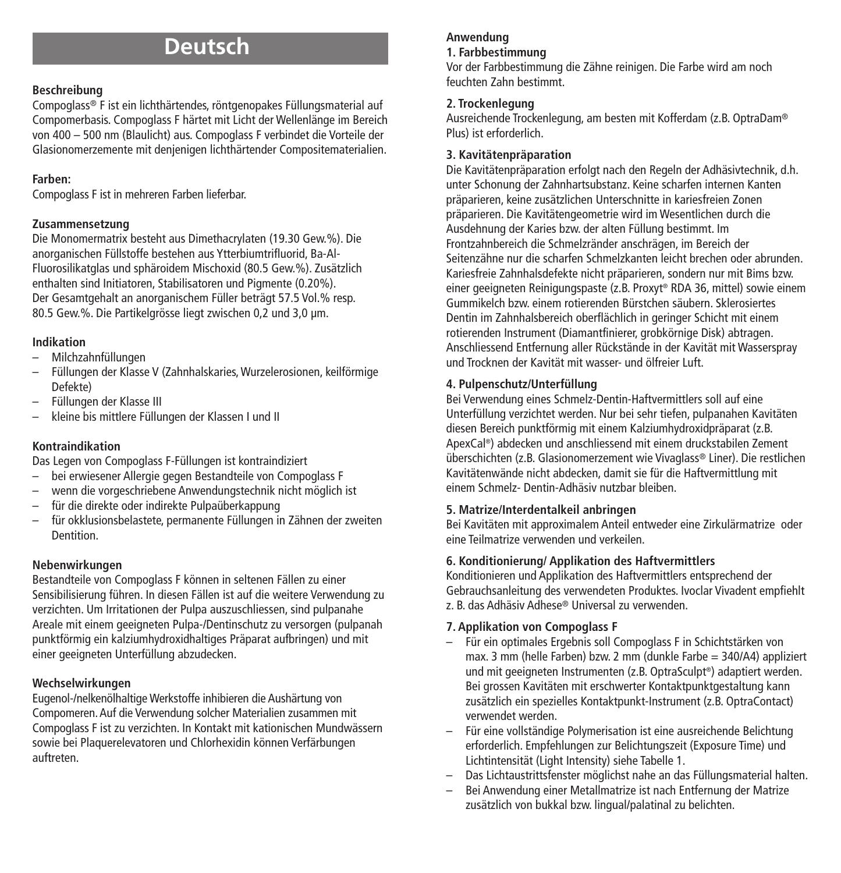# **Deutsch**

### **Beschreibung**

Compoglass® F ist ein lichthärtendes, röntgenopakes Füllungsmaterial auf Compomerbasis. Compoglass F härtet mit Licht der Wellenlänge im Bereich von 400 – 500 nm (Blaulicht) aus. Compoglass F verbindet die Vorteile der Glasionomerzemente mit denjenigen lichthärtender Compositematerialien.

### **Farben:**

Compoglass F ist in mehreren Farben lieferbar.

### **Zusammensetzung**

Die Monomermatrix besteht aus Dimethacrylaten (19.30 Gew.%). Die anorganischen Füllstoffe bestehen aus Ytterbiumtrifluorid, Ba-Al-Fluorosilikatglas und sphäroidem Mischoxid (80.5 Gew.%). Zusätzlich enthalten sind Initiatoren, Stabilisatoren und Pigmente (0.20%). Der Gesamtgehalt an anorganischem Füller beträgt 57.5 Vol.% resp. 80.5 Gew.%. Die Partikelgrösse liegt zwischen 0,2 und 3,0 µm.

### **Indikation**

- Milchzahnfüllungen
- Füllungen der Klasse V (Zahnhalskaries,Wurzelerosionen, keilförmige Defekte)
- Füllungen der Klasse III
- kleine bis mittlere Füllungen der Klassen I und II

### **Kontraindikation**

Das Legen von Compoglass F-Füllungen ist kontraindiziert

- bei erwiesener Allergie gegen Bestandteile von Compoglass F
- wenn die vorgeschriebene Anwendungstechnik nicht möglich ist
- für die direkte oder indirekte Pulpaüberkappung
- für okklusionsbelastete, permanente Füllungen in Zähnen der zweiten **Dentition**

### **Nebenwirkungen**

Bestandteile von Compoglass F können in seltenen Fällen zu einer Sensibilisierung führen. In diesen Fällen ist auf die weitere Verwendung zu verzichten. Um Irritationen der Pulpa auszuschliessen, sind pulpanahe Areale mit einem geeigneten Pulpa-/Dentinschutz zu versorgen (pulpanah punktförmig ein kalziumhydroxidhaltiges Präparat aufbringen) und mit einer geeigneten Unterfüllung abzudecken.

### **Wechselwirkungen**

Eugenol-/nelkenölhaltige Werkstoffe inhibieren die Aushärtung von Compomeren.Auf die Verwendung solcher Materialien zusammen mit Compoglass F ist zu verzichten. In Kontakt mit kationischen Mundwässern sowie bei Plaquerelevatoren und Chlorhexidin können Verfärbungen auftreten.

## **Anwendung**

### **1. Farbbestimmung**

Vor der Farbbestimmung die Zähne reinigen. Die Farbe wird am noch feuchten Zahn bestimmt.

### **2. Trockenlegung**

Ausreichende Trockenlegung, am besten mit Kofferdam (z.B. OptraDam® Plus) ist erforderlich.

### **3. Kavitätenpräparation**

Die Kavitätenpräparation erfolgt nach den Regeln der Adhäsivtechnik, d.h. unter Schonung der Zahnhartsubstanz. Keine scharfen internen Kanten präparieren, keine zusätzlichen Unterschnitte in kariesfreien Zonen präparieren. Die Kavitätengeometrie wird im Wesentlichen durch die Ausdehnung der Karies bzw. der alten Füllung bestimmt. Im Frontzahnbereich die Schmelzränder anschrägen, im Bereich der Seitenzähne nur die scharfen Schmelzkanten leicht brechen oder abrunden. Kariesfreie Zahnhalsdefekte nicht präparieren, sondern nur mit Bims bzw. einer geeigneten Reinigungspaste (z.B. Proxyt ® RDA 36, mittel) sowie einem Gummikelch bzw. einem rotierenden Bürstchen säubern. Sklerosiertes Dentin im Zahnhalsbereich oberflächlich in geringer Schicht mit einem rotierenden Instrument (Diamantfinierer, grobkörnige Disk) abtragen. Anschliessend Entfernung aller Rückstände in der Kavität mit Wasserspray und Trocknen der Kavität mit wasser- und ölfreier Luft.

### **4. Pulpenschutz/Unterfüllung**

Bei Verwendung eines Schmelz-Dentin-Haftvermittlers soll auf eine Unterfüllung verzichtet werden. Nur bei sehr tiefen, pulpanahen Kavitäten diesen Bereich punktförmig mit einem Kalziumhydroxidpräparat (z.B. ApexCal ®) abdecken und anschliessend mit einem druckstabilen Zement überschichten (z.B. Glasionomerzement wie Vivaglass® Liner). Die restlichen Kavitätenwände nicht abdecken, damit sie für die Haftvermittlung mit einem Schmelz- Dentin-Adhäsiv nutzbar bleiben.

### **5. Matrize/Interdentalkeil anbringen**

Bei Kavitäten mit approximalem Anteil entweder eine Zirkulärmatrize oder eine Teilmatrize verwenden und verkeilen.

### **6. Konditionierung/ Applikation des Haftvermittlers**

Konditionieren und Applikation des Haftvermittlers entsprechend der Gebrauchsanleitung des verwendeten Produktes. Ivoclar Vivadent empfiehlt z. B. das Adhäsiv Adhese® Universal zu verwenden.

### **7. Applikation von Compoglass F**

- Für ein optimales Ergebnis soll Compoglass F in Schichtstärken von max. 3 mm (helle Farben) bzw. 2 mm (dunkle Farbe = 340/A4) appliziert und mit geeigneten Instrumenten (z.B. OptraSculpt ®) adaptiert werden. Bei grossen Kavitäten mit erschwerter Kontaktpunktgestaltung kann zusätzlich ein spezielles Kontaktpunkt-Instrument (z.B. OptraContact) verwendet werden.
- Für eine vollständige Polymerisation ist eine ausreichende Belichtung erforderlich. Empfehlungen zur Belichtungszeit (Exposure Time) und Lichtintensität (Light Intensity) siehe Tabelle 1.
- Das Lichtaustrittsfenster möglichst nahe an das Füllungsmaterial halten.
- Bei Anwendung einer Metallmatrize ist nach Entfernung der Matrize zusätzlich von bukkal bzw. lingual/palatinal zu belichten.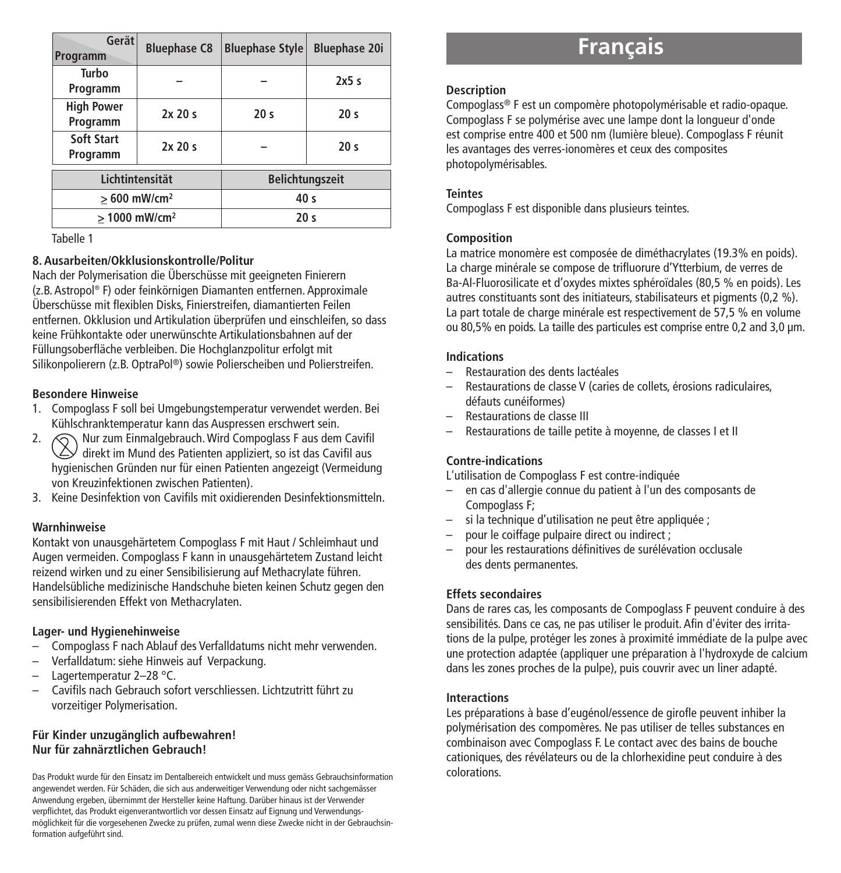| Gerät<br>Programm             | <b>Bluephase C8</b>                          | <b>Bluephase Style</b> | <b>Bluephase 20i</b> |
|-------------------------------|----------------------------------------------|------------------------|----------------------|
| Turbo<br>Programm             |                                              |                        | 2x5s                 |
| <b>High Power</b><br>Programm | 2x20s                                        | 20 <sub>s</sub>        | 20 <sub>s</sub>      |
| Soft Start<br>Programm        | 2x20s                                        |                        | 20 <sub>s</sub>      |
| Lichtintensität               |                                              | <b>Belichtungszeit</b> |                      |
| $>600$ mW/cm <sup>2</sup>     |                                              | 40 <sub>s</sub>        |                      |
|                               | > 1000 mW/cm <sup>2</sup><br>20 <sub>s</sub> |                        |                      |

Tabelle 1

#### **8. Ausarbeiten/Okklusionskontrolle/Politur**

Nach der Polymerisation die Überschüsse mit geeigneten Finierern (z.B. Astropol ® F) oder feinkörnigen Diamanten entfernen. Approximale Überschüsse mit flexiblen Disks, Finierstreifen, diamantierten Feilen entfernen. Okklusion und Artikulation überprüfen und einschleifen, so dass keine Frühkontakte oder unerwünschte Artikulationsbahnen auf der Füllungsoberfläche verbleiben. Die Hochglanzpolitur erfolgt mit Silikonpolierern (z.B. OptraPol ®) sowie Polierscheiben und Polierstreifen.

#### **Besondere Hinweise**

- 1. Compoglass F soll bei Umgebungstemperatur verwendet werden. Bei Kühlschranktemperatur kann das Auspressen erschwert sein.
- 2.  $\bigcap$  Nur zum Einmalgebrauch. Wird Compoglass F aus dem Cavifil  $\vee$  direkt im Mund des Patienten appliziert, so ist das Cavifil aus hygienischen Gründen nur für einen Patienten angezeigt (Vermeidung von Kreuzinfektionen zwischen Patienten).
- 3. Keine Desinfektion von Cavifils mit oxidierenden Desinfektionsmitteln.

### **Warnhinweise**

Kontakt von unausgehärtetem Compoglass F mit Haut / Schleimhaut und Augen vermeiden. Compoglass F kann in unausgehärtetem Zustand leicht reizend wirken und zu einer Sensibilisierung auf Methacrylate führen. Handelsübliche medizinische Handschuhe bieten keinen Schutz gegen den sensibilisierenden Effekt von Methacrylaten.

### **Lager- und Hygienehinweise**

- Compoglass F nach Ablauf des Verfalldatums nicht mehr verwenden.
- Verfalldatum: siehe Hinweis auf Verpackung.
- Lagertemperatur 2-28 °C.
- Cavifils nach Gebrauch sofort verschliessen. Lichtzutritt führt zu vorzeitiger Polymerisation.

#### **Für Kinder unzugänglich aufbewahren! Nur für zahnärztlichen Gebrauch!**

Das Produkt wurde für den Einsatz im Dentalbereich entwickelt und muss gemäss Gebrauchsinformation angewendet werden. Für Schäden, die sich aus anderweitiger Verwendung oder nicht sachgemässer Anwendung ergeben, übernimmt der Hersteller keine Haftung. Darüber hinaus ist der Verwender verpflichtet, das Produkt eigenverantwortlich vor dessen Einsatz auf Eignung und Verwendungsmöglichkeit für die vorgesehenen Zwecke zu prüfen, zumal wenn diese Zwecke nicht in der Gebrauchsinformation aufgeführt sind.

# **Français**

#### **Description**

Compoglass® F est un compomère photopolymérisable et radio-opaque. Compoglass F se polymérise avec une lampe dont la longueur d'onde est comprise entre 400 et 500 nm (lumière bleue). Compoglass F réunit les avantages des verres-ionomères et ceux des composites photopolymérisables.

### **Teintes**

Compoglass F est disponible dans plusieurs teintes.

#### **Composition**

La matrice monomère est composée de diméthacrylates (19.3% en poids). La charge minérale se compose de trifluorure d'Ytterbium, de verres de Ba-Al-Fluorosilicate et d'oxydes mixtes sphéroïdales (80,5 % en poids). Les autres constituants sont des initiateurs, stabilisateurs et pigments (0,2 %). La part totale de charge minérale est respectivement de 57,5 % en volume ou 80,5% en poids. La taille des particules est comprise entre 0,2 and 3,0 µm.

#### **Indications**

- Restauration des dents lactéales
- Restaurations de classe V (caries de collets, érosions radiculaires, défauts cunéiformes)
- Restaurations de classe III
- Restaurations de taille petite à moyenne, de classes I et II

### **Contre-indications**

L'utilisation de Compoglass F est contre-indiquée

- en cas d'allergie connue du patient à l'un des composants de Compoglass F;
- si la technique d'utilisation ne peut être appliquée :
- pour le coiffage pulpaire direct ou indirect :
- pour les restaurations définitives de surélévation occlusale des dents permanentes.

### **Effets secondaires**

Dans de rares cas, les composants de Compoglass F peuvent conduire à des sensibilités. Dans ce cas, ne pas utiliser le produit. Afin d'éviter des irritations de la pulpe, protéger les zones à proximité immédiate de la pulpe avec une protection adaptée (appliquer une préparation à l'hydroxyde de calcium dans les zones proches de la pulpe), puis couvrir avec un liner adapté.

### **Interactions**

Les préparations à base d'eugénol/essence de girofle peuvent inhiber la polymérisation des compomères. Ne pas utiliser de telles substances en combinaison avec Compoglass F. Le contact avec des bains de bouche cationiques, des révélateurs ou de la chlorhexidine peut conduire à des colorations.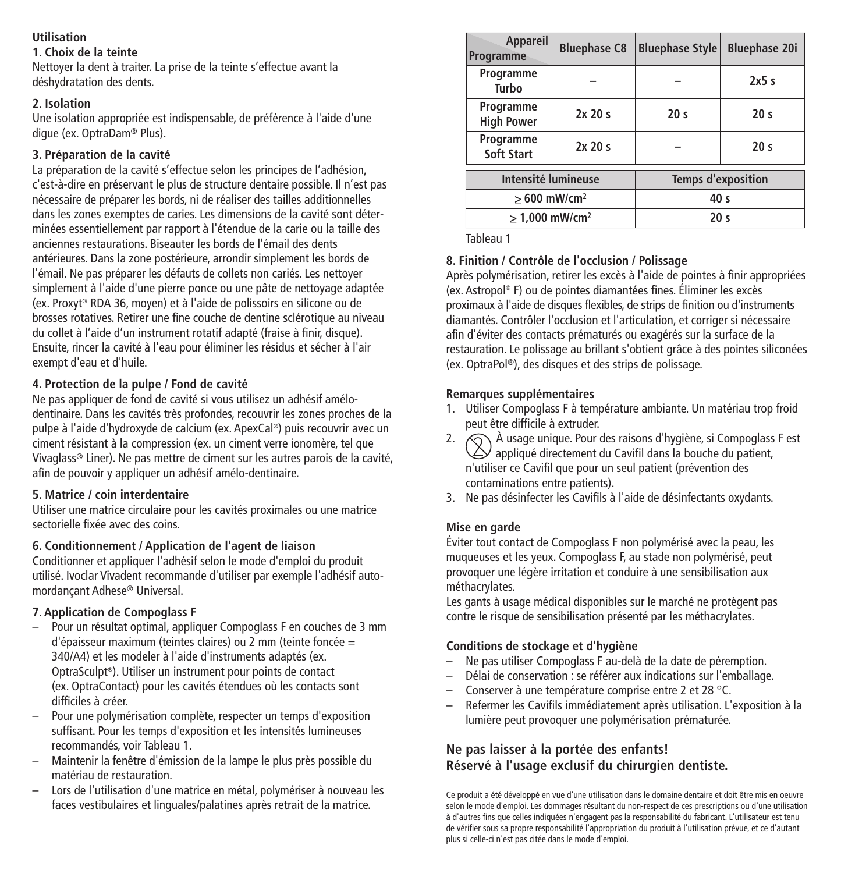### **Utilisation**

### **1. Choix de la teinte**

Nettoyer la dent à traiter. La prise de la teinte s'effectue avant la déshydratation des dents.

### **2. Isolation**

Une isolation appropriée est indispensable, de préférence à l'aide d'une digue (ex. OptraDam® Plus).

### **3. Préparation de la cavité**

La préparation de la cavité s'effectue selon les principes de l'adhésion, c'est-à-dire en préservant le plus de structure dentaire possible. Il n'est pas nécessaire de préparer les bords, ni de réaliser des tailles additionnelles dans les zones exemptes de caries. Les dimensions de la cavité sont déterminées essentiellement par rapport à l'étendue de la carie ou la taille des anciennes restaurations. Biseauter les bords de l'émail des dents antérieures. Dans la zone postérieure, arrondir simplement les bords de l'émail. Ne pas préparer les défauts de collets non cariés. Les nettoyer simplement à l'aide d'une pierre ponce ou une pâte de nettoyage adaptée (ex. Proxyt ® RDA 36, moyen) et à l'aide de polissoirs en silicone ou de brosses rotatives. Retirer une fine couche de dentine sclérotique au niveau du collet à l'aide d'un instrument rotatif adapté (fraise à finir, disque). Ensuite, rincer la cavité à l'eau pour éliminer les résidus et sécher à l'air exempt d'eau et d'huile.

### **4. Protection de la pulpe / Fond de cavité**

Ne pas appliquer de fond de cavité si vous utilisez un adhésif amélodentinaire. Dans les cavités très profondes, recouvrir les zones proches de la pulpe à l'aide d'hydroxyde de calcium (ex. ApexCal ®) puis recouvrir avec un ciment résistant à la compression (ex. un ciment verre ionomère, tel que Vivaglass® Liner). Ne pas mettre de ciment sur les autres parois de la cavité, afin de pouvoir y appliquer un adhésif amélo-dentinaire.

### **5. Matrice / coin interdentaire**

Utiliser une matrice circulaire pour les cavités proximales ou une matrice sectorielle fixée avec des coins.

### **6. Conditionnement / Application de l'agent de liaison**

Conditionner et appliquer l'adhésif selon le mode d'emploi du produit utilisé. Ivoclar Vivadent recommande d'utiliser par exemple l'adhésif automordançant Adhese® Universal.

### **7. Application de Compoglass F**

- Pour un résultat optimal, appliquer Compoglass F en couches de 3 mm d'épaisseur maximum (teintes claires) ou 2 mm (teinte foncée = 340/A4) et les modeler à l'aide d'instruments adaptés (ex. OptraSculpt ®). Utiliser un instrument pour points de contact (ex. OptraContact) pour les cavités étendues où les contacts sont difficiles à créer.
- Pour une polymérisation complète, respecter un temps d'exposition suffisant. Pour les temps d'exposition et les intensités lumineuses recommandés, voir Tableau 1.
- Maintenir la fenêtre d'émission de la lampe le plus près possible du matériau de restauration.
- Lors de l'utilisation d'une matrice en métal, polymériser à nouveau les faces vestibulaires et linguales/palatines après retrait de la matrice.

| Appareil<br>Programme          | <b>Bluephase C8</b> | <b>Bluephase Style</b>    | <b>Bluephase 20i</b> |
|--------------------------------|---------------------|---------------------------|----------------------|
| Programme<br>Turho             |                     |                           | 2x5s                 |
| Programme<br><b>High Power</b> | 2x20s               | 20 <sub>s</sub>           | 20 <sub>s</sub>      |
| Programme<br>Soft Start        | 2x20s               |                           | 20 <sub>s</sub>      |
| Intensité lumineuse            |                     | <b>Temps d'exposition</b> |                      |
| $>600$ mW/cm <sup>2</sup>      |                     | 40 <sub>s</sub>           |                      |
| $> 1.000$ mW/cm <sup>2</sup>   |                     | 20 <sub>s</sub>           |                      |

Tableau 1

### **8. Finition / Contrôle de l'occlusion / Polissage**

Après polymérisation, retirer les excès à l'aide de pointes à finir appropriées (ex. Astropol ® F) ou de pointes diamantées fines. Éliminer les excès proximaux à l'aide de disques flexibles, de strips de finition ou d'instruments diamantés. Contrôler l'occlusion et l'articulation, et corriger si nécessaire afin d'éviter des contacts prématurés ou exagérés sur la surface de la restauration. Le polissage au brillant s'obtient grâce à des pointes siliconées (ex. OptraPol ®), des disques et des strips de polissage.

### **Remarques supplémentaires**

- 1. Utiliser Compoglass F à température ambiante. Un matériau trop froid peut être difficile à extruder.
- 2.  $\bigcirc$  À usage unique. Pour des raisons d'hygiène, si Compoglass F est  $\triangle$  appliqué directement du Cavifil dans la bouche du patient. n'utiliser ce Cavifil que pour un seul patient (prévention des contaminations entre patients).
- 3. Ne pas désinfecter les Cavifils à l'aide de désinfectants oxydants.

### **Mise en garde**

Éviter tout contact de Compoglass F non polymérisé avec la peau, les muqueuses et les yeux. Compoglass F, au stade non polymérisé, peut provoquer une légère irritation et conduire à une sensibilisation aux méthacrylates.

Les gants à usage médical disponibles sur le marché ne protègent pas contre le risque de sensibilisation présenté par les méthacrylates.

### **Conditions de stockage et d'hygiène**

- Ne pas utiliser Compoglass F au-delà de la date de péremption.
- Délai de conservation : se référer aux indications sur l'emballage.
- Conserver à une température comprise entre 2 et 28 °C.
- Refermer les Cavifils immédiatement après utilisation. L'exposition à la lumière peut provoquer une polymérisation prématurée.

### **Ne pas laisser à la portée des enfants! Réservé à l'usage exclusif du chirurgien dentiste.**

Ce produit a été développé en vue d'une utilisation dans le domaine dentaire et doit être mis en oeuvre selon le mode d'emploi. Les dommages résultant du non-respect de ces prescriptions ou d'une utilisation à d'autres fins que celles indiquées n'engagent pas la responsabilité du fabricant. L'utilisateur est tenu de vérifier sous sa propre responsabilité l'appropriation du produit à l'utilisation prévue, et ce d'autant plus si celle-ci n'est pas citée dans le mode d'emploi.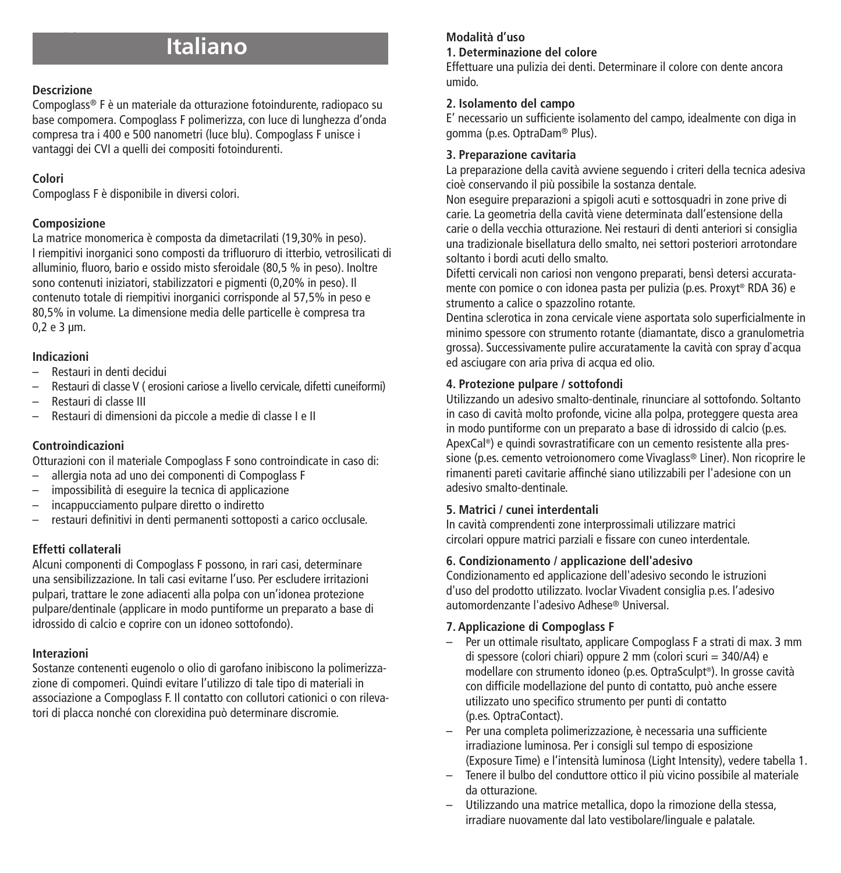# **Italiano**

### **Descrizione**

Compoglass® F è un materiale da otturazione fotoindurente, radiopaco su base compomera. Compoglass F polimerizza, con luce di lunghezza d'onda compresa tra i 400 e 500 nanometri (luce blu). Compoglass F unisce i vantaggi dei CVI a quelli dei compositi fotoindurenti.

### **Colori**

Compoglass F è disponibile in diversi colori.

### **Composizione**

La matrice monomerica è composta da dimetacrilati (19,30% in peso). I riempitivi inorganici sono composti da trifluoruro di itterbio, vetrosilicati di alluminio, fluoro, bario e ossido misto sferoidale (80,5 % in peso). Inoltre sono contenuti iniziatori, stabilizzatori e pigmenti (0,20% in peso). Il contenuto totale di riempitivi inorganici corrisponde al 57,5% in peso e 80,5% in volume. La dimensione media delle particelle è compresa tra 0,2 e 3 µm.

### **Indicazioni**

- Restauri in denti decidui
- Restauri di classe V ( erosioni cariose a livello cervicale, difetti cuneiformi)
- Restauri di classe III
- Restauri di dimensioni da piccole a medie di classe I e II

### **Controindicazioni**

Otturazioni con il materiale Compoglass F sono controindicate in caso di:

- allergia nota ad uno dei componenti di Compoglass F
- impossibilità di eseguire la tecnica di applicazione
- incappucciamento pulpare diretto o indiretto
- restauri definitivi in denti permanenti sottoposti a carico occlusale.

### **Effetti collaterali**

Alcuni componenti di Compoglass F possono, in rari casi, determinare una sensibilizzazione. In tali casi evitarne l'uso. Per escludere irritazioni pulpari, trattare le zone adiacenti alla polpa con un'idonea protezione pulpare/dentinale (applicare in modo puntiforme un preparato a base di idrossido di calcio e coprire con un idoneo sottofondo).

### **Interazioni**

Sostanze contenenti eugenolo o olio di garofano inibiscono la polimerizzazione di compomeri. Quindi evitare l'utilizzo di tale tipo di materiali in associazione a Compoglass F. Il contatto con collutori cationici o con rilevatori di placca nonché con clorexidina può determinare discromie.

## **Modalità d'uso**

### **1. Determinazione del colore**

Effettuare una pulizia dei denti. Determinare il colore con dente ancora umido.

### **2. Isolamento del campo**

E' necessario un sufficiente isolamento del campo, idealmente con diga in gomma (p.es. OptraDam® Plus).

### **3. Preparazione cavitaria**

La preparazione della cavità avviene seguendo i criteri della tecnica adesiva cioè conservando il più possibile la sostanza dentale.

Non eseguire preparazioni a spigoli acuti e sottosquadri in zone prive di carie. La geometria della cavità viene determinata dall'estensione della carie o della vecchia otturazione. Nei restauri di denti anteriori si consiglia una tradizionale bisellatura dello smalto, nei settori posteriori arrotondare soltanto i bordi acuti dello smalto.

Difetti cervicali non cariosi non vengono preparati, bensì detersi accuratamente con pomice o con idonea pasta per pulizia (p.es. Proxyt ® RDA 36) e strumento a calice o spazzolino rotante.

Dentina sclerotica in zona cervicale viene asportata solo superficialmente in minimo spessore con strumento rotante (diamantate, disco a granulometria grossa). Successivamente pulire accuratamente la cavità con spray d`acqua ed asciugare con aria priva di acqua ed olio.

### **4. Protezione pulpare / sottofondi**

Utilizzando un adesivo smalto-dentinale, rinunciare al sottofondo. Soltanto in caso di cavità molto profonde, vicine alla polpa, proteggere questa area in modo puntiforme con un preparato a base di idrossido di calcio (p.es. ApexCal ®) e quindi sovrastratificare con un cemento resistente alla pressione (p.es. cemento vetroionomero come Vivaglass® Liner). Non ricoprire le rimanenti pareti cavitarie affinché siano utilizzabili per l'adesione con un adesivo smalto-dentinale.

### **5. Matrici / cunei interdentali**

In cavità comprendenti zone interprossimali utilizzare matrici circolari oppure matrici parziali e fissare con cuneo interdentale.

### **6. Condizionamento / applicazione dell'adesivo**

Condizionamento ed applicazione dell'adesivo secondo le istruzioni d'uso del prodotto utilizzato. Ivoclar Vivadent consiglia p.es. l'adesivo automordenzante l'adesivo Adhese® Universal.

### **7. Applicazione di Compoglass F**

- Per un ottimale risultato, applicare Compoglass F a strati di max. 3 mm di spessore (colori chiari) oppure 2 mm (colori scuri = 340/A4) e modellare con strumento idoneo (p.es. OptraSculpt ®). In grosse cavità con difficile modellazione del punto di contatto, può anche essere utilizzato uno specifico strumento per punti di contatto (p.es. OptraContact).
- Per una completa polimerizzazione, è necessaria una sufficiente irradiazione luminosa. Per i consigli sul tempo di esposizione (Exposure Time) e l'intensità luminosa (Light Intensity), vedere tabella 1.
- Tenere il bulbo del conduttore ottico il più vicino possibile al materiale da otturazione.
- Utilizzando una matrice metallica, dopo la rimozione della stessa, irradiare nuovamente dal lato vestibolare/linguale e palatale.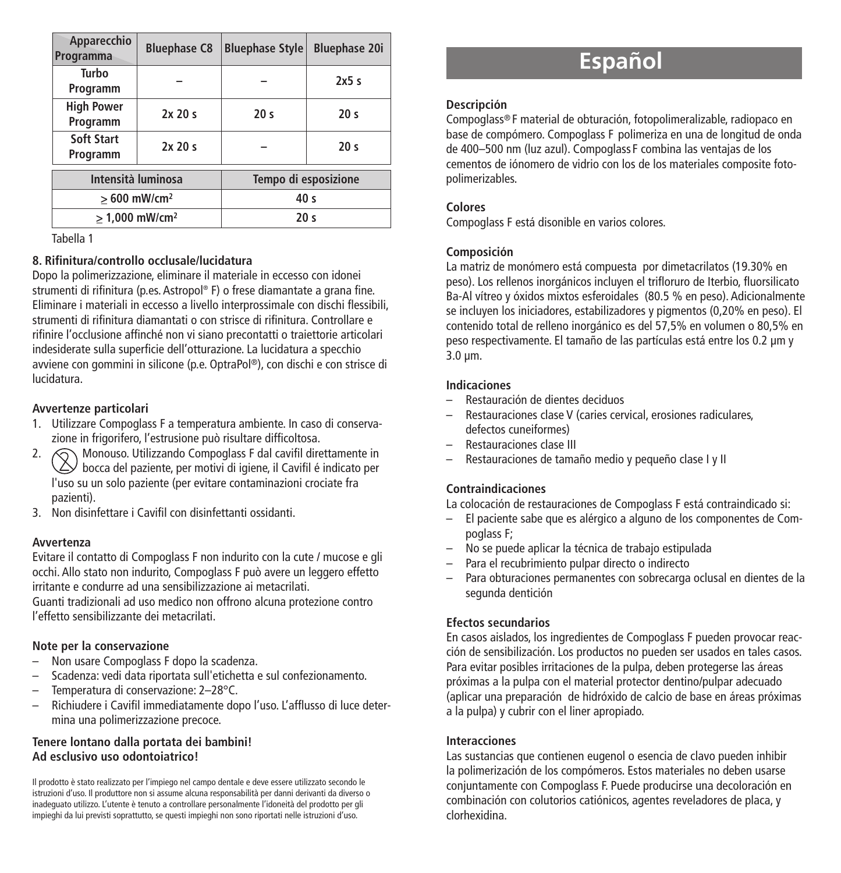| Apparecchio<br>Programma      | <b>Bluephase C8</b> | <b>Bluephase Style</b> | <b>Bluephase 20i</b> |
|-------------------------------|---------------------|------------------------|----------------------|
| Turbo<br>Programm             |                     |                        | 2x5s                 |
| <b>High Power</b><br>Programm | 2x20s               | 20 <sub>s</sub>        | 20 <sub>s</sub>      |
| Soft Start<br>Programm        | 2x20s               |                        | 20 <sub>s</sub>      |
| Intensità luminosa            |                     | Tempo di esposizione   |                      |
| $>600$ mW/cm <sup>2</sup>     |                     | 40 <sub>s</sub>        |                      |
| $> 1,000$ mW/cm <sup>2</sup>  |                     | 20 <sub>s</sub>        |                      |

Tabella 1

### **8. Rifinitura/controllo occlusale/lucidatura**

Dopo la polimerizzazione, eliminare il materiale in eccesso con idonei strumenti di rifinitura (p.es. Astropol ® F) o frese diamantate a grana fine. Eliminare i materiali in eccesso a livello interprossimale con dischi flessibili, strumenti di rifinitura diamantati o con strisce di rifinitura. Controllare e rifinire l'occlusione affinché non vi siano precontatti o traiettorie articolari indesiderate sulla superficie dell'otturazione. La lucidatura a specchio avviene con gommini in silicone (p.e. OptraPol ®), con dischi e con strisce di lucidatura.

### **Avvertenze particolari**

- 1. Utilizzare Compoglass F a temperatura ambiente. In caso di conservazione in frigorifero, l'estrusione può risultare difficoltosa.
- **2. Monouso. Utilizzando Compoglass F dal cavifil direttamente in**  $\triangle$  bocca del paziente, per motivi di igiene, il Cavifil é indicato per l'uso su un solo paziente (per evitare contaminazioni crociate fra pazienti).
- 3. Non disinfettare i Cavifil con disinfettanti ossidanti.

### **Avvertenza**

Evitare il contatto di Compoglass F non indurito con la cute / mucose e gli occhi. Allo stato non indurito, Compoglass F può avere un leggero effetto irritante e condurre ad una sensibilizzazione ai metacrilati.

Guanti tradizionali ad uso medico non offrono alcuna protezione contro l'effetto sensibilizzante dei metacrilati.

### **Note per la conservazione**

- Non usare Compoglass F dopo la scadenza.
- Scadenza: vedi data riportata sull'etichetta e sul confezionamento.
- Temperatura di conservazione: 2–28°C.
- Richiudere i Cavifil immediatamente dopo l'uso. L'afflusso di luce determina una polimerizzazione precoce.

#### **Tenere lontano dalla portata dei bambini! Ad esclusivo uso odontoiatrico!**

Il prodotto è stato realizzato per l'impiego nel campo dentale e deve essere utilizzato secondo le istruzioni d'uso. Il produttore non si assume alcuna responsabilità per danni derivanti da diverso o inadeguato utilizzo. L'utente è tenuto a controllare personalmente l'idoneità del prodotto per gli impieghi da lui previsti soprattutto, se questi impieghi non sono riportati nelle istruzioni d'uso.

# **Español**

### **Descripción**

Compoglass® F material de obturación, fotopolimeralizable, radiopaco en base de compómero. Compoglass F polimeriza en una de longitud de onda de 400–500 nm (luz azul). Compoglass F combina las ventajas de los cementos de iónomero de vidrio con los de los materiales composite fotopolimerizables.

### **Colores**

Compoglass F está disonible en varios colores.

### **Composición**

La matriz de monómero está compuesta por dimetacrilatos (19.30% en peso). Los rellenos inorgánicos incluyen el trifloruro de Iterbio, fluorsilicato Ba-Al vítreo y óxidos mixtos esferoidales (80.5 % en peso). Adicionalmente se incluyen los iniciadores, estabilizadores y pigmentos (0,20% en peso). El contenido total de relleno inorgánico es del 57,5% en volumen o 80,5% en peso respectivamente. El tamaño de las partículas está entre los 0.2 µm y 3.0 µm.

### **Indicaciones**

- Restauración de dientes deciduos
- Restauraciones clase V (caries cervical, erosiones radiculares, defectos cuneiformes)
- Restauraciones clase III
- Restauraciones de tamaño medio y pequeño clase I y II

### **Contraindicaciones**

La colocación de restauraciones de Compoglass F está contraindicado si:

- El paciente sabe que es alérgico a alguno de los componentes de Compoglass F;
- No se puede aplicar la técnica de trabajo estipulada
- Para el recubrimiento pulpar directo o indirecto
- Para obturaciones permanentes con sobrecarga oclusal en dientes de la segunda dentición

### **Efectos secundarios**

En casos aislados, los ingredientes de Compoglass F pueden provocar reacción de sensibilización. Los productos no pueden ser usados en tales casos. Para evitar posibles irritaciones de la pulpa, deben protegerse las áreas próximas a la pulpa con el material protector dentino/pulpar adecuado (aplicar una preparación de hidróxido de calcio de base en áreas próximas a la pulpa) y cubrir con el liner apropiado.

### **Interacciones**

Las sustancias que contienen eugenol o esencia de clavo pueden inhibir la polimerización de los compómeros. Estos materiales no deben usarse conjuntamente con Compoglass F. Puede producirse una decoloración en combinación con colutorios catiónicos, agentes reveladores de placa, y clorhexidina.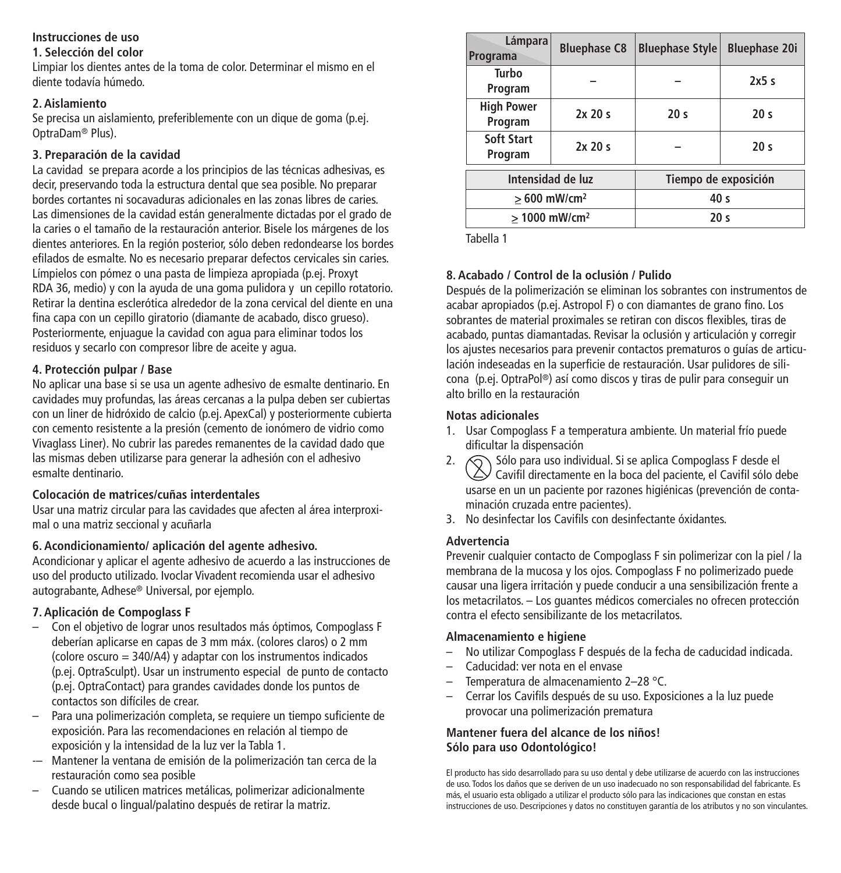### **Instrucciones de uso**

### **1. Selección del color**

Limpiar los dientes antes de la toma de color. Determinar el mismo en el diente todavía húmedo.

### **2. Aislamiento**

Se precisa un aislamiento, preferiblemente con un dique de goma (p.ej. OptraDam® Plus).

### **3. Preparación de la cavidad**

La cavidad se prepara acorde a los principios de las técnicas adhesivas, es decir, preservando toda la estructura dental que sea posible. No preparar bordes cortantes ni socavaduras adicionales en las zonas libres de caries. Las dimensiones de la cavidad están generalmente dictadas por el grado de la caries o el tamaño de la restauración anterior. Bisele los márgenes de los dientes anteriores. En la región posterior, sólo deben redondearse los bordes efilados de esmalte. No es necesario preparar defectos cervicales sin caries. Límpielos con pómez o una pasta de limpieza apropiada (p.ej. Proxyt RDA 36, medio) y con la ayuda de una goma pulidora y un cepillo rotatorio. Retirar la dentina esclerótica alrededor de la zona cervical del diente en una fina capa con un cepillo giratorio (diamante de acabado, disco grueso). Posteriormente, enjuague la cavidad con agua para eliminar todos los residuos y secarlo con compresor libre de aceite y agua.

### **4. Protección pulpar / Base**

No aplicar una base si se usa un agente adhesivo de esmalte dentinario. En cavidades muy profundas, las áreas cercanas a la pulpa deben ser cubiertas con un liner de hidróxido de calcio (p.ej. ApexCal) y posteriormente cubierta con cemento resistente a la presión (cemento de ionómero de vidrio como Vivaglass Liner). No cubrir las paredes remanentes de la cavidad dado que las mismas deben utilizarse para generar la adhesión con el adhesivo esmalte dentinario.

### **Colocación de matrices/cuñas interdentales**

Usar una matriz circular para las cavidades que afecten al área interproximal o una matriz seccional y acuñarla

### **6. Acondicionamiento/ aplicación del agente adhesivo.**

Acondicionar y aplicar el agente adhesivo de acuerdo a las instrucciones de uso del producto utilizado. Ivoclar Vivadent recomienda usar el adhesivo autograbante, Adhese® Universal, por ejemplo.

### **7. Aplicación de Compoglass F**

- Con el objetivo de lograr unos resultados más óptimos, Compoglass F deberían aplicarse en capas de 3 mm máx. (colores claros) o 2 mm (colore oscuro = 340/A4) y adaptar con los instrumentos indicados (p.ej. OptraSculpt). Usar un instrumento especial de punto de contacto (p.ej. OptraContact) para grandes cavidades donde los puntos de contactos son difíciles de crear.
- Para una polimerización completa, se requiere un tiempo suficiente de exposición. Para las recomendaciones en relación al tiempo de exposición y la intensidad de la luz ver la Tabla 1.
- -– Mantener la ventana de emisión de la polimerización tan cerca de la restauración como sea posible
- Cuando se utilicen matrices metálicas, polimerizar adicionalmente desde bucal o lingual/palatino después de retirar la matriz.

| Lámpara<br>Programa          | <b>Bluephase C8</b> | <b>Bluephase Style</b> | <b>Bluephase 20i</b> |
|------------------------------|---------------------|------------------------|----------------------|
| Turbo<br>Program             |                     |                        | 2x5s                 |
| <b>High Power</b><br>Program | 2x20s               | 20 <sub>s</sub>        | 20 <sub>s</sub>      |
| Soft Start<br>Program        | 2x20s               |                        | 20 <sub>s</sub>      |
| Intensidad de luz            |                     | Tiempo de exposición   |                      |
| $>600$ mW/cm <sup>2</sup>    |                     | 40 <sub>s</sub>        |                      |
| > 1000 mW/cm <sup>2</sup>    |                     | 20 <sub>s</sub>        |                      |

Tabella 1

### **8. Acabado / Control de la oclusión / Pulido**

Después de la polimerización se eliminan los sobrantes con instrumentos de acabar apropiados (p.ej. Astropol F) o con diamantes de grano fino. Los sobrantes de material proximales se retiran con discos flexibles, tiras de acabado, puntas diamantadas. Revisar la oclusión y articulación y corregir los ajustes necesarios para prevenir contactos prematuros o guías de articulación indeseadas en la superficie de restauración. Usar pulidores de silicona (p.ej. OptraPol ®) así como discos y tiras de pulir para conseguir un alto brillo en la restauración

### **Notas adicionales**

- 1. Usar Compoglass F a temperatura ambiente. Un material frío puede dificultar la dispensación
- 2.  $\bigcirc$  Sólo para uso individual. Si se aplica Compoglass F desde el Cavifil directamente en la boca del paciente, el Cavifil sólo debe usarse en un un paciente por razones higiénicas (prevención de contaminación cruzada entre pacientes).
- 3. No desinfectar los Cavifils con desinfectante óxidantes.

### **Advertencia**

Prevenir cualquier contacto de Compoglass F sin polimerizar con la piel / la membrana de la mucosa y los ojos. Compoglass F no polimerizado puede causar una ligera irritación y puede conducir a una sensibilización frente a los metacrilatos. – Los guantes médicos comerciales no ofrecen protección contra el efecto sensibilizante de los metacrilatos.

### **Almacenamiento e higiene**

- No utilizar Compoglass F después de la fecha de caducidad indicada.
- Caducidad: ver nota en el envase
- Temperatura de almacenamiento 2–28 °C.
- Cerrar los Cavifils después de su uso. Exposiciones a la luz puede provocar una polimerización prematura

### **Mantener fuera del alcance de los niños! Sólo para uso Odontológico!**

El producto has sido desarrollado para su uso dental y debe utilizarse de acuerdo con las instrucciones de uso. Todos los daños que se deriven de un uso inadecuado no son responsabilidad del fabricante. Es más, el usuario esta obligado a utilizar el producto sólo para las indicaciones que constan en estas instrucciones de uso. Descripciones y datos no constituyen garantía de los atributos y no son vinculantes.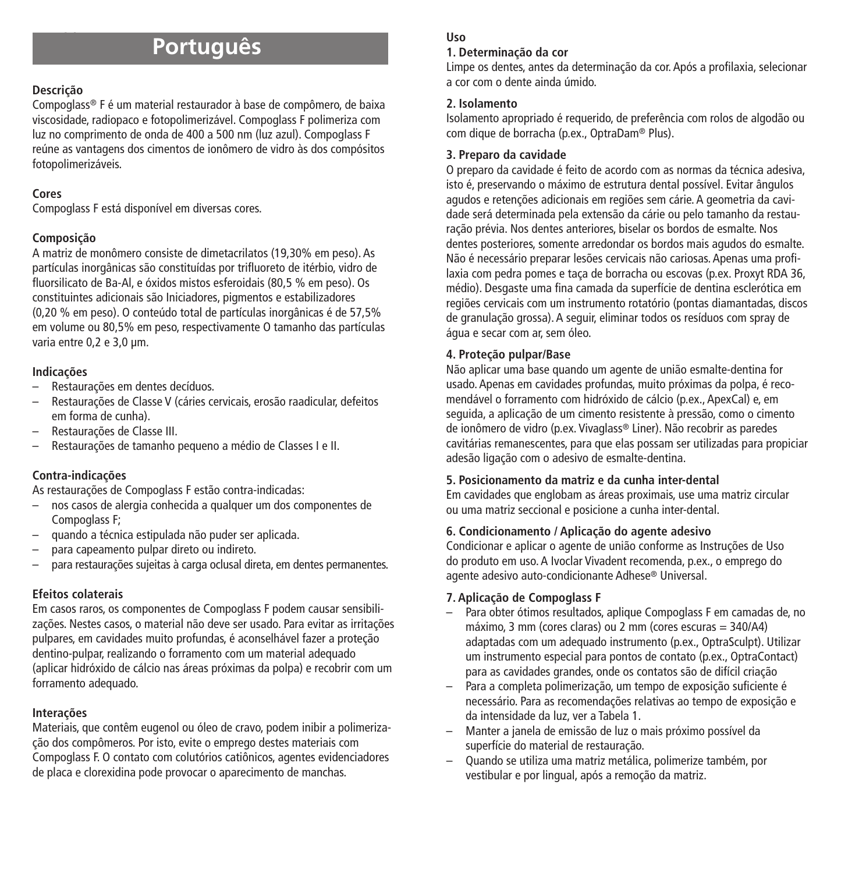# **Português**

### **Descrição**

Compoglass® F é um material restaurador à base de compômero, de baixa viscosidade, radiopaco e fotopolimerizável. Compoglass F polimeriza com luz no comprimento de onda de 400 a 500 nm (luz azul). Compoglass F reúne as vantagens dos cimentos de ionômero de vidro às dos compósitos fotopolimerizáveis.

### **Cores**

Compoglass F está disponível em diversas cores.

### **Composição**

A matriz de monômero consiste de dimetacrilatos (19,30% em peso). As partículas inorgânicas são constituídas por trifluoreto de itérbio, vidro de fluorsilicato de Ba-Al, e óxidos mistos esferoidais (80,5 % em peso). Os constituintes adicionais são Iniciadores, pigmentos e estabilizadores (0,20 % em peso). O conteúdo total de partículas inorgânicas é de 57,5% em volume ou 80,5% em peso, respectivamente O tamanho das partículas varia entre 0.2 e 3.0 um.

### **Indicações**

- Restaurações em dentes decíduos.
- Restaurações de Classe V (cáries cervicais, erosão raadicular, defeitos em forma de cunha).
- Restaurações de Classe III.
- Restaurações de tamanho pequeno a médio de Classes I e II.

### **Contra-indicações**

As restaurações de Compoglass F estão contra-indicadas:

- nos casos de alergia conhecida a qualquer um dos componentes de Compoglass F;
- quando a técnica estipulada não puder ser aplicada.
- para capeamento pulpar direto ou indireto.
- para restaurações sujeitas à carga oclusal direta, em dentes permanentes.

### **Efeitos colaterais**

Em casos raros, os componentes de Compoglass F podem causar sensibilizações. Nestes casos, o material não deve ser usado. Para evitar as irritações pulpares, em cavidades muito profundas, é aconselhável fazer a proteção dentino-pulpar, realizando o forramento com um material adequado (aplicar hidróxido de cálcio nas áreas próximas da polpa) e recobrir com um forramento adequado.

### **Interações**

Materiais, que contêm eugenol ou óleo de cravo, podem inibir a polimerização dos compômeros. Por isto, evite o emprego destes materiais com Compoglass F. O contato com colutórios catiônicos, agentes evidenciadores de placa e clorexidina pode provocar o aparecimento de manchas.

### **Uso**

### **1. Determinação da cor**

Limpe os dentes, antes da determinação da cor. Após a profilaxia, selecionar a cor com o dente ainda úmido.

### **2. Isolamento**

Isolamento apropriado é requerido, de preferência com rolos de algodão ou com dique de borracha (p.ex., OptraDam® Plus).

### **3. Preparo da cavidade**

O preparo da cavidade é feito de acordo com as normas da técnica adesiva, isto é, preservando o máximo de estrutura dental possível. Evitar ângulos agudos e retenções adicionais em regiões sem cárie. A geometria da cavidade será determinada pela extensão da cárie ou pelo tamanho da restauração prévia. Nos dentes anteriores, biselar os bordos de esmalte. Nos dentes posteriores, somente arredondar os bordos mais agudos do esmalte. Não é necessário preparar lesões cervicais não cariosas. Apenas uma profilaxia com pedra pomes e taça de borracha ou escovas (p.ex. Proxyt RDA 36, médio). Desgaste uma fina camada da superfície de dentina esclerótica em regiões cervicais com um instrumento rotatório (pontas diamantadas, discos de granulação grossa). A seguir, eliminar todos os resíduos com spray de água e secar com ar, sem óleo.

### **4. Proteção pulpar/Base**

Não aplicar uma base quando um agente de união esmalte-dentina for usado. Apenas em cavidades profundas, muito próximas da polpa, é recomendável o forramento com hidróxido de cálcio (p.ex., ApexCal) e, em seguida, a aplicação de um cimento resistente à pressão, como o cimento de ionômero de vidro (p.ex. Vivaglass® Liner). Não recobrir as paredes cavitárias remanescentes, para que elas possam ser utilizadas para propiciar adesão ligação com o adesivo de esmalte-dentina.

### **5. Posicionamento da matriz e da cunha inter-dental**

Em cavidades que englobam as áreas proximais, use uma matriz circular ou uma matriz seccional e posicione a cunha inter-dental.

### **6. Condicionamento / Aplicação do agente adesivo**

Condicionar e aplicar o agente de união conforme as Instruções de Uso do produto em uso. A Ivoclar Vivadent recomenda, p.ex., o emprego do agente adesivo auto-condicionante Adhese® Universal.

### **7. Aplicação de Compoglass F**

- Para obter ótimos resultados, aplique Compoglass F em camadas de, no máximo, 3 mm (cores claras) ou 2 mm (cores escuras = 340/A4) adaptadas com um adequado instrumento (p.ex., OptraSculpt). Utilizar um instrumento especial para pontos de contato (p.ex., OptraContact) para as cavidades grandes, onde os contatos são de difícil criação
- Para a completa polimerização, um tempo de exposição suficiente é necessário. Para as recomendações relativas ao tempo de exposição e da intensidade da luz, ver a Tabela 1.
- Manter a janela de emissão de luz o mais próximo possível da superfície do material de restauração.
- Quando se utiliza uma matriz metálica, polimerize também, por vestibular e por lingual, após a remoção da matriz.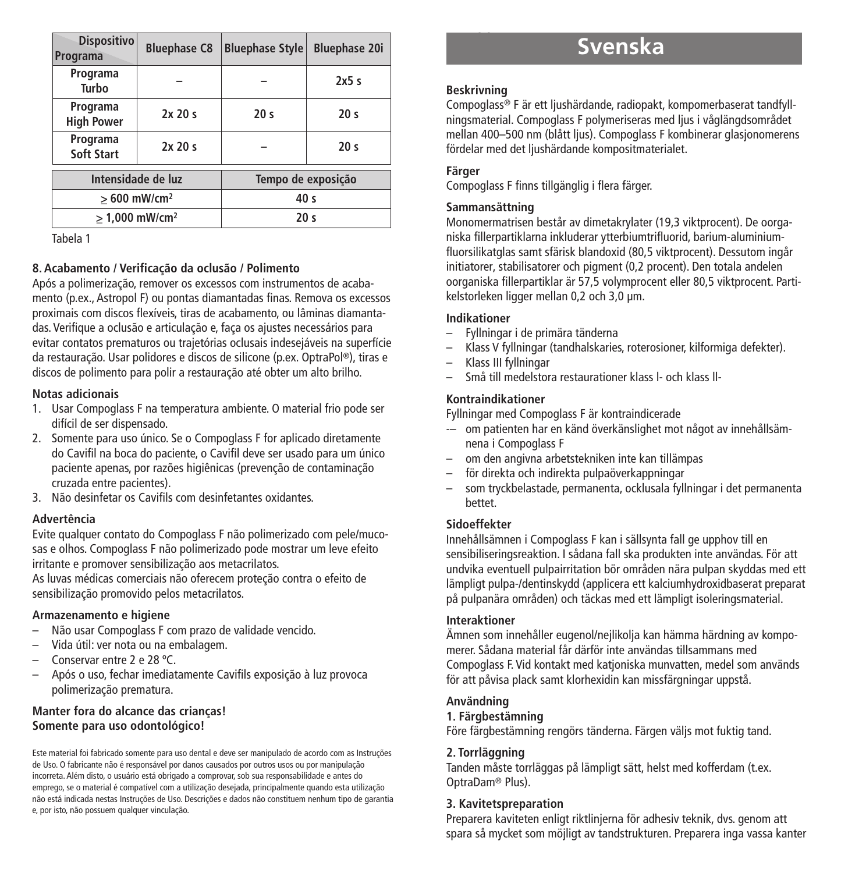| Dispositivo<br>Programa       | <b>Bluephase C8</b> | <b>Bluephase Style</b> | <b>Bluephase 20i</b> |
|-------------------------------|---------------------|------------------------|----------------------|
| Programa<br>Turbo             |                     |                        | 2x5s                 |
| Programa<br><b>High Power</b> | 2x20s               | 20 <sub>s</sub>        | 20 <sub>s</sub>      |
| Programa<br>Soft Start        | 2x20s               |                        | 20 <sub>s</sub>      |
| Intensidade de luz            |                     | Tempo de exposição     |                      |
| $>600$ mW/cm <sup>2</sup>     |                     | 40 <sub>s</sub>        |                      |
| $> 1.000$ mW/cm <sup>2</sup>  |                     | 20 <sub>s</sub>        |                      |

Tabela 1

### **8. Acabamento / Verificação da oclusão / Polimento**

Após a polimerização, remover os excessos com instrumentos de acabamento (p.ex., Astropol F) ou pontas diamantadas finas. Remova os excessos proximais com discos flexíveis, tiras de acabamento, ou lâminas diamantadas. Verifique a oclusão e articulação e, faça os ajustes necessários para evitar contatos prematuros ou trajetórias oclusais indesejáveis na superfície da restauração. Usar polidores e discos de silicone (p.ex. OptraPol ®), tiras e discos de polimento para polir a restauração até obter um alto brilho.

### **Notas adicionais**

- 1. Usar Compoglass F na temperatura ambiente. O material frio pode ser difícil de ser dispensado.
- 2. Somente para uso único. Se o Compoglass F for aplicado diretamente do Cavifil na boca do paciente, o Cavifil deve ser usado para um único paciente apenas, por razões higiênicas (prevenção de contaminação cruzada entre pacientes).
- 3. Não desinfetar os Cavifils com desinfetantes oxidantes.

### **Advertência**

Evite qualquer contato do Compoglass F não polimerizado com pele/mucosas e olhos. Compoglass F não polimerizado pode mostrar um leve efeito irritante e promover sensibilização aos metacrilatos.

As luvas médicas comerciais não oferecem proteção contra o efeito de sensibilização promovido pelos metacrilatos.

### **Armazenamento e higiene**

- Não usar Compoglass F com prazo de validade vencido.
- Vida útil: ver nota ou na embalagem.
- Conservar entre 2 e 28 ºC.
- Após o uso, fechar imediatamente Cavifils exposição à luz provoca polimerização prematura.

#### **Manter fora do alcance das crianças! Somente para uso odontológico!**

Este material foi fabricado somente para uso dental e deve ser manipulado de acordo com as Instruções de Uso. O fabricante não é responsável por danos causados por outros usos ou por manipulação incorreta. Além disto, o usuário está obrigado a comprovar, sob sua responsabilidade e antes do emprego, se o material é compatível com a utilização desejada, principalmente quando esta utilização não está indicada nestas Instruções de Uso. Descrições e dados não constituem nenhum tipo de garantia e, por isto, não possuem qualquer vinculação.

# **Svenska**

### **Beskrivning**

Compoglass® F är ett ljushärdande, radiopakt, kompomerbaserat tandfyllningsmaterial. Compoglass F polymeriseras med ljus i våglängdsområdet mellan 400–500 nm (blått ljus). Compoglass F kombinerar glasjonomerens fördelar med det ljushärdande kompositmaterialet.

### **Färger**

Compoglass F finns tillgänglig i flera färger.

### **Sammansättning**

Monomermatrisen består av dimetakrylater (19,3 viktprocent). De oorganiska fillerpartiklarna inkluderar ytterbiumtrifluorid, barium-aluminiumfluorsilikatglas samt sfärisk blandoxid (80,5 viktprocent). Dessutom ingår initiatorer, stabilisatorer och pigment (0,2 procent). Den totala andelen oorganiska fillerpartiklar är 57,5 volymprocent eller 80,5 viktprocent. Partikelstorleken ligger mellan 0,2 och 3,0 µm.

### **Indikationer**

- Fyllningar i de primära tänderna
- Klass V fyllningar (tandhalskaries, roterosioner, kilformiga defekter).
- Klass III fyllningar
- Små till medelstora restaurationer klass l- och klass ll-

### **Kontraindikationer**

Fyllningar med Compoglass F är kontraindicerade

- -– om patienten har en känd överkänslighet mot något av innehållsämnena i Compoglass F
- om den angivna arbetstekniken inte kan tillämpas
- för direkta och indirekta pulpaöverkappningar
- som tryckbelastade, permanenta, ocklusala fyllningar i det permanenta bettet.

### **Sidoeffekter**

Innehållsämnen i Compoglass F kan i sällsynta fall ge upphov till en sensibiliseringsreaktion. I sådana fall ska produkten inte användas. För att undvika eventuell pulpairritation bör områden nära pulpan skyddas med ett lämpligt pulpa-/dentinskydd (applicera ett kalciumhydroxidbaserat preparat på pulpanära områden) och täckas med ett lämpligt isoleringsmaterial.

### **Interaktioner**

Ämnen som innehåller eugenol/nejlikolja kan hämma härdning av kompomerer. Sådana material får därför inte användas tillsammans med Compoglass F. Vid kontakt med katjoniska munvatten, medel som används för att påvisa plack samt klorhexidin kan missfärgningar uppstå.

### **Användning**

### **1. Färgbestämning**

Före färgbestämning rengörs tänderna. Färgen väljs mot fuktig tand.

### **2. Torrläggning**

Tanden måste torrläggas på lämpligt sätt, helst med kofferdam (t.ex. OptraDam® Plus).

### **3. Kavitetspreparation**

Preparera kaviteten enligt riktlinjerna för adhesiv teknik, dvs. genom att spara så mycket som möjligt av tandstrukturen. Preparera inga vassa kanter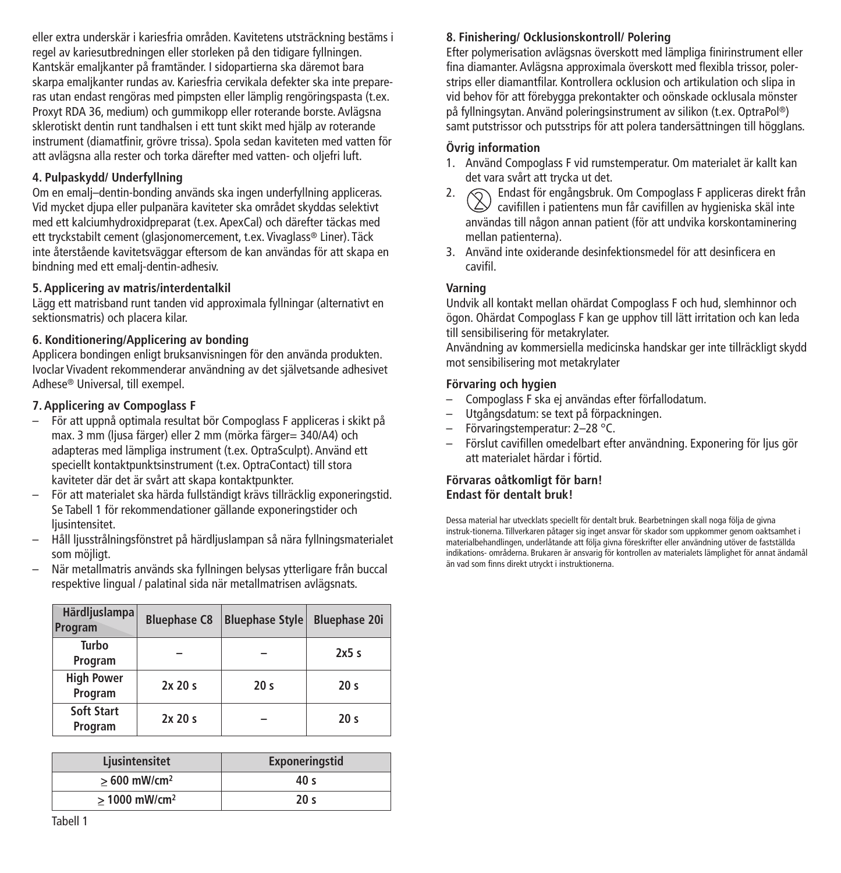eller extra underskär i kariesfria områden. Kavitetens utsträckning bestäms i regel av kariesutbredningen eller storleken på den tidigare fyllningen. Kantskär emaljkanter på framtänder. I sidopartierna ska däremot bara skarpa emaljkanter rundas av. Kariesfria cervikala defekter ska inte prepareras utan endast rengöras med pimpsten eller lämplig rengöringspasta (t.ex. Proxyt RDA 36, medium) och gummikopp eller roterande borste. Avlägsna sklerotiskt dentin runt tandhalsen i ett tunt skikt med hjälp av roterande instrument (diamatfinir, grövre trissa). Spola sedan kaviteten med vatten för att avlägsna alla rester och torka därefter med vatten- och oljefri luft.

### **4. Pulpaskydd/ Underfyllning**

Om en emalj–dentin-bonding används ska ingen underfyllning appliceras. Vid mycket djupa eller pulpanära kaviteter ska området skyddas selektivt med ett kalciumhydroxidpreparat (t.ex. ApexCal) och därefter täckas med ett tryckstabilt cement (glasjonomercement, t.ex. Vivaglass® Liner). Täck inte återstående kavitetsväggar eftersom de kan användas för att skapa en bindning med ett emalj-dentin-adhesiv.

#### **5. Applicering av matris/interdentalkil**

Lägg ett matrisband runt tanden vid approximala fyllningar (alternativt en sektionsmatris) och placera kilar.

### **6. Konditionering/Applicering av bonding**

Applicera bondingen enligt bruksanvisningen för den använda produkten. Ivoclar Vivadent rekommenderar användning av det självetsande adhesivet Adhese® Universal, till exempel.

### **7. Applicering av Compoglass F**

- För att uppnå optimala resultat bör Compoglass F appliceras i skikt på max. 3 mm (ljusa färger) eller 2 mm (mörka färger= 340/A4) och adapteras med lämpliga instrument (t.ex. OptraSculpt). Använd ett speciellt kontaktpunktsinstrument (t.ex. OptraContact) till stora kaviteter där det är svårt att skapa kontaktpunkter.
- För att materialet ska härda fullständigt krävs tillräcklig exponeringstid. Se Tabell 1 för rekommendationer gällande exponeringstider och ljusintensitet.
- Håll ljusstrålningsfönstret på härdljuslampan så nära fyllningsmaterialet som möjligt.
- När metallmatris används ska fyllningen belysas ytterligare från buccal respektive lingual / palatinal sida när metallmatrisen avlägsnats.

| Härdljuslampa<br>Program     | <b>Bluephase C8</b> | <b>Bluephase Style</b> | <b>Bluephase 20i</b> |
|------------------------------|---------------------|------------------------|----------------------|
| Turbo<br>Program             |                     |                        | 2x5s                 |
| <b>High Power</b><br>Program | 2x20s               | 20 <sub>s</sub>        | 20 <sub>s</sub>      |
| Soft Start<br>Program        | 2x20s               |                        | 20 <sub>s</sub>      |

| Ljusintensitet              | Exponeringstid  |
|-----------------------------|-----------------|
| $>600$ mW/cm <sup>2</sup>   | 40 s            |
| $> 1000$ mW/cm <sup>2</sup> | 20 <sub>s</sub> |

#### **8. Finishering/ Ocklusionskontroll/ Polering**

Efter polymerisation avlägsnas överskott med lämpliga finirinstrument eller fina diamanter. Avlägsna approximala överskott med flexibla trissor, polerstrips eller diamantfilar. Kontrollera ocklusion och artikulation och slipa in vid behov för att förebygga prekontakter och oönskade ocklusala mönster på fyllningsytan. Använd poleringsinstrument av silikon (t.ex. OptraPol ®) samt putstrissor och putsstrips för att polera tandersättningen till högglans.

#### **Övrig information**

- 1. Använd Compoglass F vid rumstemperatur. Om materialet är kallt kan det vara svårt att trycka ut det.
- 2.  $\oslash$  Endast för engångsbruk. Om Compoglass F appliceras direkt från cavifillen i patientens mun får cavifillen av hygieniska skäl inte användas till någon annan patient (för att undvika korskontaminering mellan patienterna).
- 3. Använd inte oxiderande desinfektionsmedel för att desinficera en cavifil.

### **Varning**

Undvik all kontakt mellan ohärdat Compoglass F och hud, slemhinnor och ögon. Ohärdat Compoglass F kan ge upphov till lätt irritation och kan leda till sensibilisering för metakrylater.

Användning av kommersiella medicinska handskar ger inte tillräckligt skydd mot sensibilisering mot metakrylater

#### **Förvaring och hygien**

- Compoglass F ska ej användas efter förfallodatum.
- Utgångsdatum: se text på förpackningen.
- Förvaringstemperatur: 2–28 °C.
- Förslut cavifillen omedelbart efter användning. Exponering för ljus gör att materialet härdar i förtid.

#### **Förvaras oåtkomligt för barn! Endast för dentalt bruk!**

Dessa material har utvecklats speciellt för dentalt bruk. Bearbetningen skall noga följa de givna instruk-tionerna. Tillverkaren påtager sig inget ansvar för skador som uppkommer genom oaktsamhet i materialbehandlingen, underlåtande att följa givna föreskrifter eller användning utöver de fastställda indikations- områderna. Brukaren är ansvarig för kontrollen av materialets lämplighet för annat ändamål än vad som finns direkt utryckt i instruktionerna.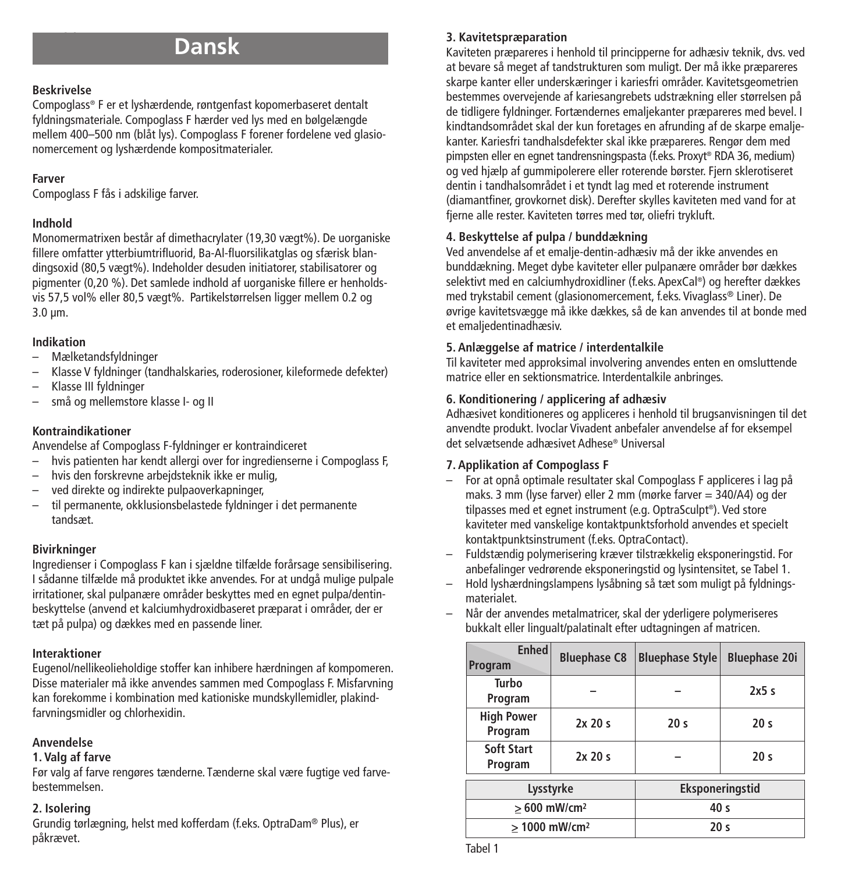# **Dansk**

### **Beskrivelse**

Compoglass® F er et lyshærdende, røntgenfast kopomerbaseret dentalt fyldningsmateriale. Compoglass F hærder ved lys med en bølgelængde mellem 400–500 nm (blåt lys). Compoglass F forener fordelene ved glasionomercement og lyshærdende kompositmaterialer.

### **Farver**

Compoglass F fås i adskilige farver.

### **Indhold**

Monomermatrixen består af dimethacrylater (19,30 vægt%). De uorganiske fillere omfatter ytterbiumtrifluorid, Ba-Al-fluorsilikatglas og sfærisk blandingsoxid (80,5 vægt%). Indeholder desuden initiatorer, stabilisatorer og pigmenter (0,20 %). Det samlede indhold af uorganiske fillere er henholdsvis 57,5 vol% eller 80,5 vægt%. Partikelstørrelsen ligger mellem 0,2 og 3.0 µm.

### **Indikation**

- Mælketandsfyldninger
- Klasse V fyldninger (tandhalskaries, roderosioner, kileformede defekter)
- Klasse III fyldninger
- små og mellemstore klasse I- og II

### **Kontraindikationer**

Anvendelse af Compoglass F-fyldninger er kontraindiceret

- hvis patienten har kendt allergi over for ingredienserne i Compoglass F,
- hvis den forskrevne arbejdsteknik ikke er mulig,
- ved direkte og indirekte pulpaoverkapninger,
- til permanente, okklusionsbelastede fyldninger i det permanente tandsæt.

### **Bivirkninger**

Ingredienser i Compoglass F kan i sjældne tilfælde forårsage sensibilisering. I sådanne tilfælde må produktet ikke anvendes. For at undgå mulige pulpale irritationer, skal pulpanære områder beskyttes med en egnet pulpa/dentinbeskyttelse (anvend et kalciumhydroxidbaseret præparat i områder, der er tæt på pulpa) og dækkes med en passende liner.

### **Interaktioner**

Eugenol/nellikeolieholdige stoffer kan inhibere hærdningen af kompomeren. Disse materialer må ikke anvendes sammen med Compoglass F. Misfarvning kan forekomme i kombination med kationiske mundskyllemidler, plakindfarvningsmidler og chlorhexidin.

### **Anvendelse**

### **1. Valg af farve**

Før valg af farve rengøres tænderne. Tænderne skal være fugtige ved farvebestemmelsen.

### **2. Isolering**

Grundig tørlægning, helst med kofferdam (f.eks. OptraDam® Plus), er påkrævet.

### **3. Kavitetspræparation**

Kaviteten præpareres i henhold til principperne for adhæsiv teknik, dvs. ved at bevare så meget af tandstrukturen som muligt. Der må ikke præpareres skarpe kanter eller underskæringer i kariesfri områder. Kavitetsgeometrien bestemmes overvejende af kariesangrebets udstrækning eller størrelsen på de tidligere fyldninger. Fortændernes emaljekanter præpareres med bevel. I kindtandsområdet skal der kun foretages en afrunding af de skarpe emaljekanter. Kariesfri tandhalsdefekter skal ikke præpareres. Rengør dem med pimpsten eller en egnet tandrensningspasta (f.eks. Proxyt ® RDA 36, medium) og ved hjælp af gummipolerere eller roterende børster. Fjern sklerotiseret dentin i tandhalsområdet i et tyndt lag med et roterende instrument (diamantfiner, grovkornet disk). Derefter skylles kaviteten med vand for at fierne alle rester. Kaviteten tørres med tør, oliefri trykluft.

### **4. Beskyttelse af pulpa / bunddækning**

Ved anvendelse af et emalje-dentin-adhæsiv må der ikke anvendes en bunddækning. Meget dybe kaviteter eller pulpanære områder bør dækkes selektivt med en calciumhydroxidliner (f.eks. ApexCal ®) og herefter dækkes med trykstabil cement (glasionomercement, f.eks. Vivaglass® Liner). De øvrige kavitetsvægge må ikke dækkes, så de kan anvendes til at bonde med et emaljedentinadhæsiv.

### **5. Anlæggelse af matrice / interdentalkile**

Til kaviteter med approksimal involvering anvendes enten en omsluttende matrice eller en sektionsmatrice. Interdentalkile anbringes.

### **6. Konditionering / applicering af adhæsiv**

Adhæsivet konditioneres og appliceres i henhold til brugsanvisningen til det anvendte produkt. Ivoclar Vivadent anbefaler anvendelse af for eksempel det selvætsende adhæsivet Adhese® Universal

### **7. Applikation af Compoglass F**

- For at opnå optimale resultater skal Compoglass F appliceres i lag på maks. 3 mm (lyse farver) eller 2 mm (mørke farver = 340/A4) og der tilpasses med et egnet instrument (e.g. OptraSculpt ®). Ved store kaviteter med vanskelige kontaktpunktsforhold anvendes et specielt kontaktpunktsinstrument (f.eks. OptraContact).
- Fuldstændig polymerisering kræver tilstrækkelig eksponeringstid. For anbefalinger vedrørende eksponeringstid og lysintensitet, se Tabel 1.
- Hold lyshærdningslampens lysåbning så tæt som muligt på fyldningsmaterialet.
- Når der anvendes metalmatricer, skal der yderligere polymeriseres bukkalt eller lingualt/palatinalt efter udtagningen af matricen.

| <b>Enhed</b><br>Program      | <b>Bluephase C8</b> | <b>Bluephase Style</b> | <b>Bluephase 20i</b> |
|------------------------------|---------------------|------------------------|----------------------|
| Turbo<br>Program             |                     |                        | 2x5s                 |
| <b>High Power</b><br>Program | 2x20s               | 20 <sub>s</sub>        | 20 <sub>s</sub>      |
| Soft Start<br>Program        | 2x20s               |                        | 20 <sub>s</sub>      |
| Lysstyrke                    |                     | Eksponeringstid        |                      |
| $>600$ mW/cm <sup>2</sup>    |                     | 40 <sub>s</sub>        |                      |
| $>1000$ mW/cm <sup>2</sup>   |                     | 20 <sub>s</sub>        |                      |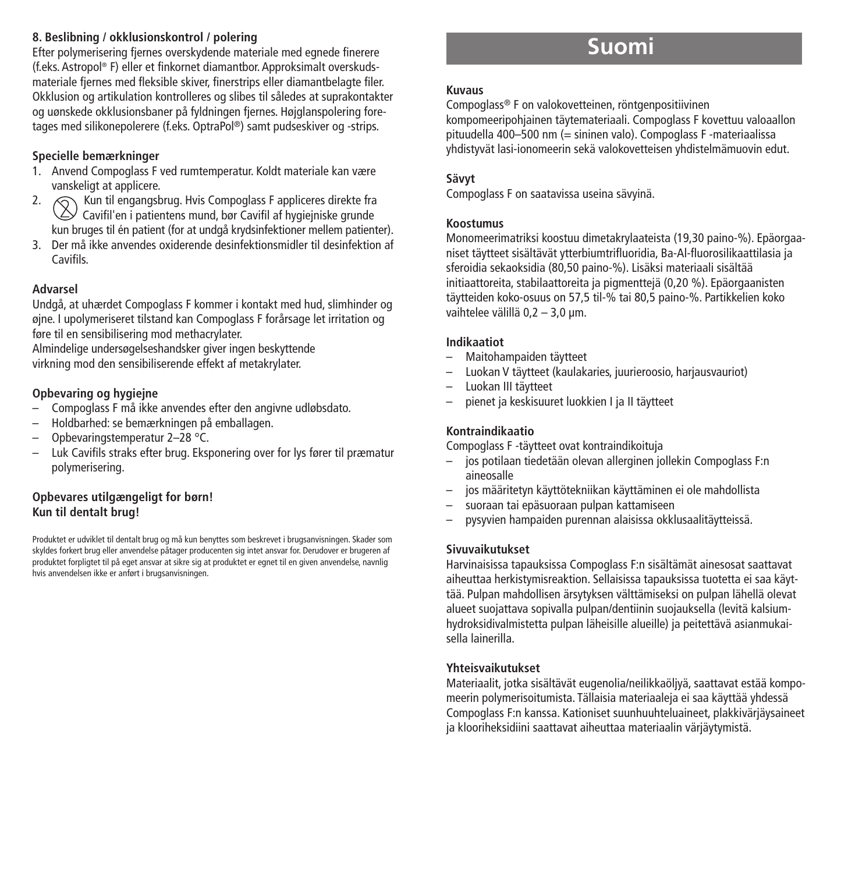### **8. Beslibning / okklusionskontrol / polering**

Efter polymerisering fjernes overskydende materiale med egnede finerere (f.eks. Astropol ® F) eller et finkornet diamantbor. Approksimalt overskudsmateriale fjernes med fleksible skiver, finerstrips eller diamantbelagte filer. Okklusion og artikulation kontrolleres og slibes til således at suprakontakter og uønskede okklusionsbaner på fyldningen fjernes. Højglanspolering foretages med silikonepolerere (f.eks. OptraPol ®) samt pudseskiver og -strips.

### **Specielle bemærkninger**

- 1. Anvend Compoglass F ved rumtemperatur. Koldt materiale kan være
- vanskeligt at applicere. 2. Kun til engangsbrug. Hvis Compoglass F appliceres direkte fra  $\vee$  Cavifil'en i patientens mund, bør Cavifil af hvgiejniske grunde kun bruges til én patient (for at undgå krydsinfektioner mellem patienter).
- 3. Der må ikke anvendes oxiderende desinfektionsmidler til desinfektion af **Cavifils**

### **Advarsel**

Undgå, at uhærdet Compoglass F kommer i kontakt med hud, slimhinder og øjne. I upolymeriseret tilstand kan Compoglass F forårsage let irritation og føre til en sensibilisering mod methacrylater.

Almindelige undersøgelseshandsker giver ingen beskyttende virkning mod den sensibiliserende effekt af metakrylater.

### **Opbevaring og hygiejne**

- Compoglass F må ikke anvendes efter den angivne udløbsdato.
- Holdbarhed: se bemærkningen på emballagen.
- Opbevaringstemperatur 2–28 °C.
- Luk Cavifils straks efter brug. Eksponering over for lys fører til præmatur polymerisering.

### **Opbevares utilgængeligt for børn! Kun til dentalt brug!**

Produktet er udviklet til dentalt brug og må kun benyttes som beskrevet i brugsanvisningen. Skader som skyldes forkert brug eller anvendelse påtager producenten sig intet ansvar for. Derudover er brugeren af produktet forpligtet til på eget ansvar at sikre sig at produktet er egnet til en given anvendelse, navnlig hvis anvendelsen ikke er anført i brugsanvisningen.

# **Suomi**

#### **Kuvaus**

Compoglass® F on valokovetteinen, röntgenpositiivinen kompomeeripohjainen täytemateriaali. Compoglass F kovettuu valoaallon pituudella 400–500 nm (= sininen valo). Compoglass F -materiaalissa yhdistyvät lasi-ionomeerin sekä valokovetteisen yhdistelmämuovin edut.

### **Sävyt**

Compoglass F on saatavissa useina sävyinä.

### **Koostumus**

Monomeerimatriksi koostuu dimetakrylaateista (19,30 paino-%). Epäorgaaniset täytteet sisältävät ytterbiumtrifluoridia, Ba-Al-fluorosilikaattilasia ja sferoidia sekaoksidia (80,50 paino-%). Lisäksi materiaali sisältää initiaattoreita, stabilaattoreita ja pigmenttejä (0,20 %). Epäorgaanisten täytteiden koko-osuus on 57,5 til-% tai 80,5 paino-%. Partikkelien koko vaihtelee välillä 0,2 - 3,0 µm.

### **Indikaatiot**

- Maitohampaiden täytteet
- Luokan V täytteet (kaulakaries, juurieroosio, harjausvauriot)
- Luokan III täytteet
- pienet ja keskisuuret luokkien I ja II täytteet

### **Kontraindikaatio**

Compoglass F -täytteet ovat kontraindikoituja

- jos potilaan tiedetään olevan allerginen jollekin Compoglass F:n aineosalle
- jos määritetyn käyttötekniikan käyttäminen ei ole mahdollista
- suoraan tai epäsuoraan pulpan kattamiseen
- pysyvien hampaiden purennan alaisissa okklusaalitäytteissä.

### **Sivuvaikutukset**

Harvinaisissa tapauksissa Compoglass F:n sisältämät ainesosat saattavat aiheuttaa herkistymisreaktion. Sellaisissa tapauksissa tuotetta ei saa käyttää. Pulpan mahdollisen ärsytyksen välttämiseksi on pulpan lähellä olevat alueet suojattava sopivalla pulpan/dentiinin suojauksella (levitä kalsiumhydroksidivalmistetta pulpan läheisille alueille) ja peitettävä asianmukaisella lainerilla.

### **Yhteisvaikutukset**

Materiaalit, jotka sisältävät eugenolia/neilikkaöljyä, saattavat estää kompomeerin polymerisoitumista. Tällaisia materiaaleja ei saa käyttää yhdessä Compoglass F:n kanssa. Kationiset suunhuuhteluaineet, plakkivärjäysaineet ja klooriheksidiini saattavat aiheuttaa materiaalin värjäytymistä.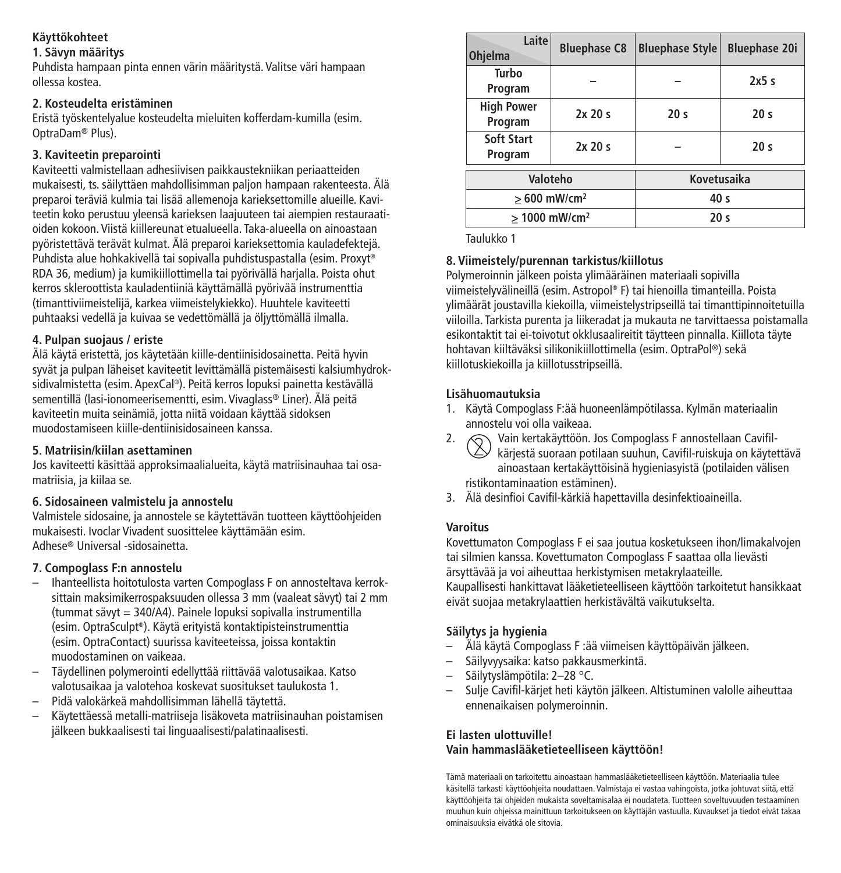### **Käyttökohteet**

### **1. Sävyn määritys**

Puhdista hampaan pinta ennen värin määritystä. Valitse väri hampaan ollessa kostea.

### **2. Kosteudelta eristäminen**

Eristä työskentelyalue kosteudelta mieluiten kofferdam-kumilla (esim. OptraDam® Plus).

### **3. Kaviteetin preparointi**

Kaviteetti valmistellaan adhesiivisen paikkaustekniikan periaatteiden mukaisesti, ts. säilyttäen mahdollisimman paljon hampaan rakenteesta. Älä preparoi teräviä kulmia tai lisää allemenoja karieksettomille alueille. Kaviteetin koko perustuu yleensä karieksen laajuuteen tai aiempien restauraatioiden kokoon. Viistä kiillereunat etualueella. Taka-alueella on ainoastaan pyöristettävä terävät kulmat. Älä preparoi karieksettomia kauladefektejä. Puhdista alue hohkakivellä tai sopivalla puhdistuspastalla (esim. Proxyt ® RDA 36, medium) ja kumikiillottimella tai pyörivällä harjalla. Poista ohut kerros skleroottista kauladentiiniä käyttämällä pyörivää instrumenttia (timanttiviimeistelijä, karkea viimeistelykiekko). Huuhtele kaviteetti puhtaaksi vedellä ja kuivaa se vedettömällä ja öljyttömällä ilmalla.

### **4. Pulpan suojaus / eriste**

Älä käytä eristettä, jos käytetään kiille-dentiinisidosainetta. Peitä hyvin syvät ja pulpan läheiset kaviteetit levittämällä pistemäisesti kalsiumhydroksidivalmistetta (esim. ApexCal ®). Peitä kerros lopuksi painetta kestävällä sementillä (lasi-ionomeerisementti, esim. Vivaglass® Liner). Älä peitä kaviteetin muita seinämiä, jotta niitä voidaan käyttää sidoksen muodostamiseen kiille-dentiinisidosaineen kanssa.

### **5. Matriisin/kiilan asettaminen**

Jos kaviteetti käsittää approksimaalialueita, käytä matriisinauhaa tai osamatriisia, ja kiilaa se.

### **6. Sidosaineen valmistelu ja annostelu**

Valmistele sidosaine, ja annostele se käytettävän tuotteen käyttöohjeiden mukaisesti. Ivoclar Vivadent suosittelee käyttämään esim. Adhese® Universal -sidosainetta.

### **7. Compoglass F:n annostelu**

- Ihanteellista hoitotulosta varten Compoglass F on annosteltava kerroksittain maksimikerrospaksuuden ollessa 3 mm (vaaleat sävyt) tai 2 mm (tummat sävyt = 340/A4). Painele lopuksi sopivalla instrumentilla (esim. OptraSculpt ®). Käytä erityistä kontaktipisteinstrumenttia (esim. OptraContact) suurissa kaviteeteissa, joissa kontaktin muodostaminen on vaikeaa.
- Täydellinen polymerointi edellyttää riittävää valotusaikaa. Katso valotusaikaa ja valotehoa koskevat suositukset taulukosta 1.
- Pidä valokärkeä mahdollisimman lähellä täytettä.
- Käytettäessä metalli-matriiseja lisäkoveta matriisinauhan poistamisen jälkeen bukkaalisesti tai linguaalisesti/palatinaalisesti.

| Laite<br><b>Ohjelma</b>      | <b>Bluephase C8</b> | <b>Bluephase Style</b> | <b>Bluephase 20i</b> |
|------------------------------|---------------------|------------------------|----------------------|
| Turbo<br>Program             |                     |                        | 2x5s                 |
| <b>High Power</b><br>Program | 2x20s               | 20 <sub>s</sub>        | 20 <sub>s</sub>      |
| Soft Start<br>Program        | 2x20s               |                        | 20 <sub>s</sub>      |
| Valoteho                     |                     | Kovetusaika            |                      |
| $>600$ mW/cm <sup>2</sup>    |                     | 40 <sub>s</sub>        |                      |
| > 1000 mW/cm <sup>2</sup>    |                     | 20 <sub>s</sub>        |                      |

Taulukko 1

### **8. Viimeistely/purennan tarkistus/kiillotus**

Polymeroinnin jälkeen poista ylimääräinen materiaali sopivilla viimeistelyvälineillä (esim. Astropol ® F) tai hienoilla timanteilla. Poista ylimäärät joustavilla kiekoilla, viimeistelystripseillä tai timanttipinnoitetuilla viiloilla. Tarkista purenta ja liikeradat ja mukauta ne tarvittaessa poistamalla esikontaktit tai ei-toivotut okklusaalireitit täytteen pinnalla. Kiillota täyte hohtavan kiiltäväksi silikonikiillottimella (esim. OptraPol ®) sekä kiillotuskiekoilla ja kiillotusstripseillä.

### **Lisähuomautuksia**

- 1. Käytä Compoglass F:ää huoneenlämpötilassa. Kylmän materiaalin annostelu voi olla vaikeaa.
- 2.  $\odot$  Vain kertakäyttöön. Jos Compoglass F annostellaan Cavifilkärjestä suoraan potilaan suuhun, Cavifil-ruiskuja on käytettävä ainoastaan kertakäyttöisinä hygieniasyistä (potilaiden välisen ristikontaminaation estäminen).
- 3. Älä desinfioi Cavifil-kärkiä hapettavilla desinfektioaineilla.

### **Varoitus**

Kovettumaton Compoglass F ei saa joutua kosketukseen ihon/limakalvojen tai silmien kanssa. Kovettumaton Compoglass F saattaa olla lievästi ärsyttävää ja voi aiheuttaa herkistymisen metakrylaateille. Kaupallisesti hankittavat lääketieteelliseen käyttöön tarkoitetut hansikkaat eivät suojaa metakrylaattien herkistävältä vaikutukselta.

### **Säilytys ja hygienia**

- Älä käytä Compoglass F :ää viimeisen käyttöpäivän jälkeen.
- Säilyvyysaika: katso pakkausmerkintä.
- Säilytyslämpötila: 2–28 °C.
- Sulje Cavifil-kärjet heti käytön jälkeen. Altistuminen valolle aiheuttaa ennenaikaisen polymeroinnin.

### **Ei lasten ulottuville! Vain hammaslääketieteelliseen käyttöön!**

Tämä materiaali on tarkoitettu ainoastaan hammaslääketieteelliseen käyttöön. Materiaalia tulee käsitellä tarkasti käyttöohjeita noudattaen. Valmistaja ei vastaa vahingoista, jotka johtuvat siitä, että käyttöohjeita tai ohjeiden mukaista soveltamisalaa ei noudateta. Tuotteen soveltuvuuden testaaminen muuhun kuin ohjeissa mainittuun tarkoitukseen on käyttäjän vastuulla. Kuvaukset ja tiedot eivät takaa ominaisuuksia eivätkä ole sitovia.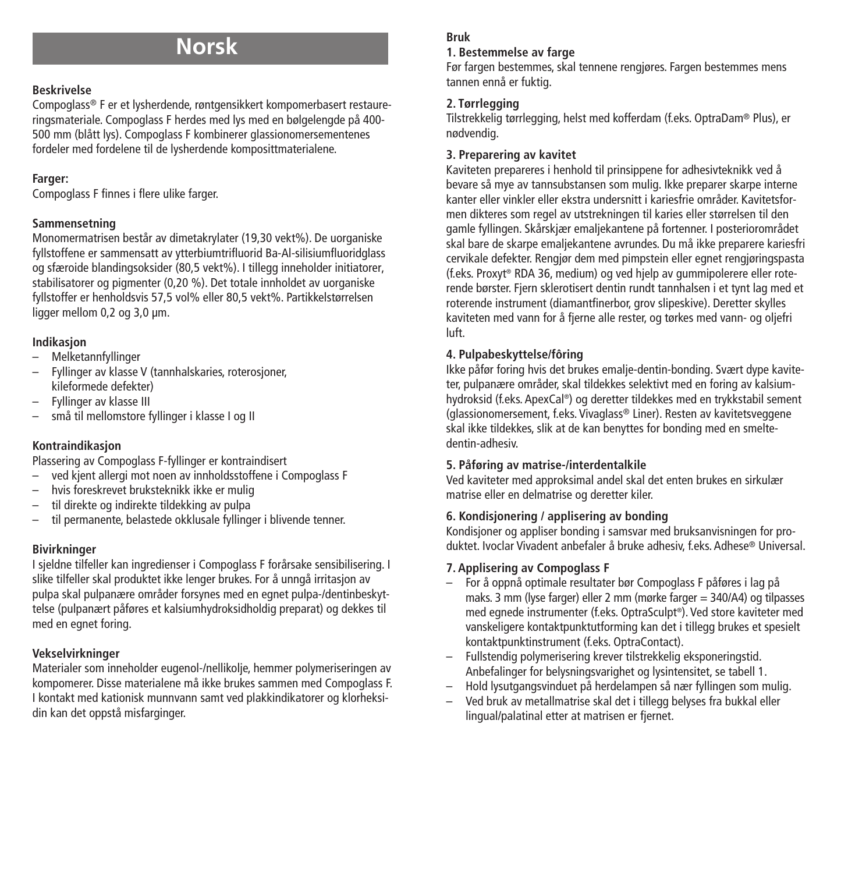# **Norsk**

### **Beskrivelse**

Compoglass® F er et lysherdende, røntgensikkert kompomerbasert restaureringsmateriale. Compoglass F herdes med lys med en bølgelengde på 400- 500 mm (blått lys). Compoglass F kombinerer glassionomersementenes fordeler med fordelene til de lysherdende komposittmaterialene.

### **Farger:**

Compoglass F finnes i flere ulike farger.

### **Sammensetning**

Monomermatrisen består av dimetakrylater (19,30 vekt%). De uorganiske fyllstoffene er sammensatt av ytterbiumtrifluorid Ba-Al-silisiumfluoridglass og sfæroide blandingsoksider (80,5 vekt%). I tillegg inneholder initiatorer, stabilisatorer og pigmenter (0,20 %). Det totale innholdet av uorganiske fyllstoffer er henholdsvis 57,5 vol% eller 80,5 vekt%. Partikkelstørrelsen ligger mellom 0,2 og 3,0 µm.

### **Indikasjon**

- Melketannfyllinger
- Fyllinger av klasse V (tannhalskaries, roterosjoner, kileformede defekter)
- Fyllinger av klasse III
- små til mellomstore fyllinger i klasse I og II

### **Kontraindikasjon**

Plassering av Compoglass F-fyllinger er kontraindisert

- ved kjent allergi mot noen av innholdsstoffene i Compoglass F
- hvis foreskrevet bruksteknikk ikke er mulig
- til direkte og indirekte tildekking av pulpa
- til permanente, belastede okklusale fyllinger i blivende tenner.

### **Bivirkninger**

I sjeldne tilfeller kan ingredienser i Compoglass F forårsake sensibilisering. I slike tilfeller skal produktet ikke lenger brukes. For å unngå irritasjon av pulpa skal pulpanære områder forsynes med en egnet pulpa-/dentinbeskyttelse (pulpanært påføres et kalsiumhydroksidholdig preparat) og dekkes til med en egnet foring.

### **Vekselvirkninger**

Materialer som inneholder eugenol-/nellikolje, hemmer polymeriseringen av kompomerer. Disse materialene må ikke brukes sammen med Compoglass F. I kontakt med kationisk munnvann samt ved plakkindikatorer og klorheksidin kan det oppstå misfarginger.

### **Bruk**

### **1. Bestemmelse av farge**

Før fargen bestemmes, skal tennene rengjøres. Fargen bestemmes mens tannen ennå er fuktig.

### **2. Tørrlegging**

Tilstrekkelig tørrlegging, helst med kofferdam (f.eks. OptraDam® Plus), er nødvendig.

### **3. Preparering av kavitet**

Kaviteten prepareres i henhold til prinsippene for adhesivteknikk ved å bevare så mye av tannsubstansen som mulig. Ikke preparer skarpe interne kanter eller vinkler eller ekstra undersnitt i kariesfrie områder. Kavitetsformen dikteres som regel av utstrekningen til karies eller størrelsen til den gamle fyllingen. Skårskjær emaljekantene på fortenner. I posteriorområdet skal bare de skarpe emaljekantene avrundes. Du må ikke preparere kariesfri cervikale defekter. Rengjør dem med pimpstein eller egnet rengjøringspasta (f.eks. Proxyt ® RDA 36, medium) og ved hjelp av gummipolerere eller roterende børster. Fjern sklerotisert dentin rundt tannhalsen i et tynt lag med et roterende instrument (diamantfinerbor, grov slipeskive). Deretter skylles kaviteten med vann for å fjerne alle rester, og tørkes med vann- og oljefri luft.

### **4. Pulpabeskyttelse/fôring**

Ikke påfør foring hvis det brukes emalje-dentin-bonding. Svært dype kaviteter, pulpanære områder, skal tildekkes selektivt med en foring av kalsiumhydroksid (f.eks. ApexCal ®) og deretter tildekkes med en trykkstabil sement (glassionomersement, f.eks. Vivaglass® Liner). Resten av kavitetsveggene skal ikke tildekkes, slik at de kan benyttes for bonding med en smeltedentin-adhesiv.

### **5. Påføring av matrise-/interdentalkile**

Ved kaviteter med approksimal andel skal det enten brukes en sirkulær matrise eller en delmatrise og deretter kiler.

### **6. Kondisjonering / applisering av bonding**

Kondisjoner og appliser bonding i samsvar med bruksanvisningen for produktet. Ivoclar Vivadent anbefaler å bruke adhesiv, f.eks. Adhese® Universal.

### **7. Applisering av Compoglass F**

- For å oppnå optimale resultater bør Compoglass F påføres i lag på maks. 3 mm (lyse farger) eller 2 mm (mørke farger = 340/A4) og tilpasses med egnede instrumenter (f.eks. OptraSculpt ®). Ved store kaviteter med vanskeligere kontaktpunktutforming kan det i tillegg brukes et spesielt kontaktpunktinstrument (f.eks. OptraContact).
- Fullstendig polymerisering krever tilstrekkelig eksponeringstid. Anbefalinger for belysningsvarighet og lysintensitet, se tabell 1.
- Hold lysutgangsvinduet på herdelampen så nær fyllingen som mulig.
- Ved bruk av metallmatrise skal det i tillegg belyses fra bukkal eller lingual/palatinal etter at matrisen er fjernet.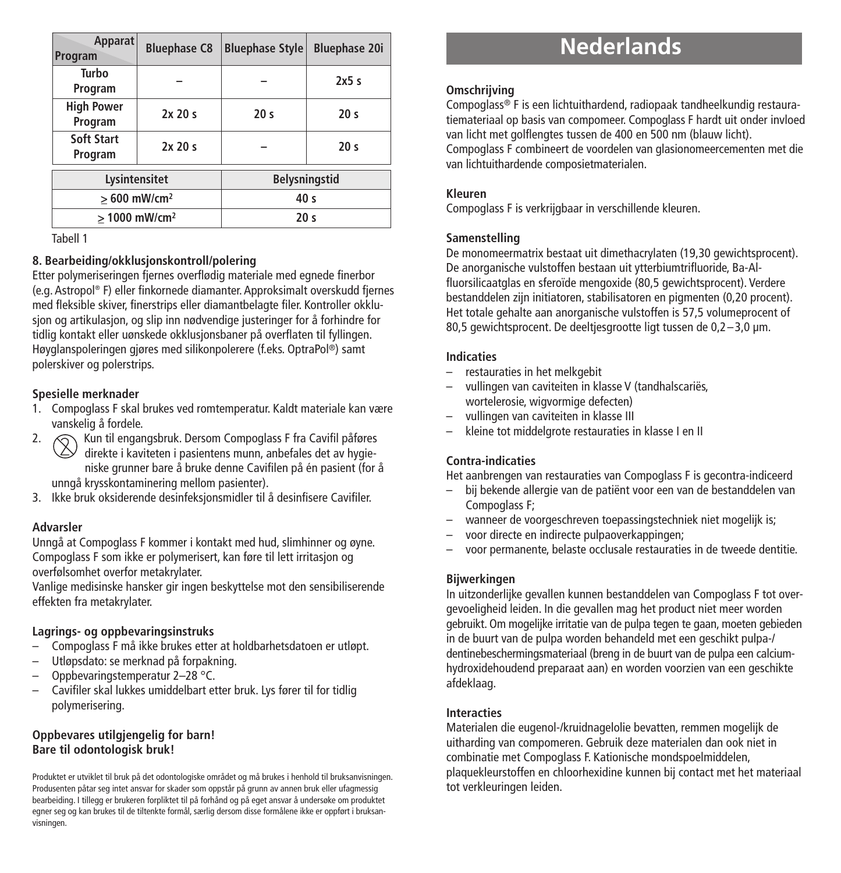| Apparat<br>Program           | <b>Bluephase C8</b> | <b>Bluephase Style</b> | <b>Bluephase 20i</b> |
|------------------------------|---------------------|------------------------|----------------------|
| Turbo<br>Program             |                     |                        | 2x5s                 |
| <b>High Power</b><br>Program | 2x20s               | 20 <sub>s</sub>        | 20 <sub>s</sub>      |
| Soft Start<br>Program        | 2x20s               |                        | 20 <sub>s</sub>      |
| Lysintensitet                |                     | <b>Belysningstid</b>   |                      |
| $>600$ mW/cm <sup>2</sup>    |                     | 40 <sub>s</sub>        |                      |
| > 1000 mW/cm <sup>2</sup>    |                     | 20 <sub>s</sub>        |                      |

Tabell 1

### **8. Bearbeiding/okklusjonskontroll/polering**

Etter polymeriseringen fjernes overflødig materiale med egnede finerbor (e.g. Astropol ® F) eller finkornede diamanter. Approksimalt overskudd fjernes med fleksible skiver, finerstrips eller diamantbelagte filer. Kontroller okklusjon og artikulasjon, og slip inn nødvendige justeringer for å forhindre for tidlig kontakt eller uønskede okklusjonsbaner på overflaten til fyllingen. Høyglanspoleringen gjøres med silikonpolerere (f.eks. OptraPol ®) samt polerskiver og polerstrips.

### **Spesielle merknader**

- 1. Compoglass F skal brukes ved romtemperatur. Kaldt materiale kan være vanskelig å fordele.
- 2.  $\bigcap$  Kun til engangsbruk. Dersom Compoglass F fra Cavifil påføres direkte i kaviteten i pasientens munn, anbefales det av hygieniske grunner bare å bruke denne Cavifilen på én pasient (for å unngå krysskontaminering mellom pasienter).
- 3. Ikke bruk oksiderende desinfeksjonsmidler til å desinfisere Cavifiler.

### **Advarsler**

Unngå at Compoglass F kommer i kontakt med hud, slimhinner og øyne. Compoglass F som ikke er polymerisert, kan føre til lett irritasjon og overfølsomhet overfor metakrylater.

Vanlige medisinske hansker gir ingen beskyttelse mot den sensibiliserende effekten fra metakrylater.

### **Lagrings- og oppbevaringsinstruks**

- Compoglass F må ikke brukes etter at holdbarhetsdatoen er utløpt.
- Utløpsdato: se merknad på forpakning.
- Oppbevaringstemperatur 2–28 °C.
- Cavifiler skal lukkes umiddelbart etter bruk. Lys fører til for tidlig polymerisering.

#### **Oppbevares utilgjengelig for barn! Bare til odontologisk bruk!**

Produktet er utviklet til bruk på det odontologiske området og må brukes i henhold til bruksanvisningen. Produsenten påtar seg intet ansvar for skader som oppstår på grunn av annen bruk eller ufagmessig bearbeiding. I tillegg er brukeren forpliktet til på forhånd og på eget ansvar å undersøke om produktet egner seg og kan brukes til de tiltenkte formål, særlig dersom disse formålene ikke er oppført i bruksanvisningen.

# **Nederlands**

### **Omschrijving**

Compoglass® F is een lichtuithardend, radiopaak tandheelkundig restauratiemateriaal op basis van compomeer. Compoglass F hardt uit onder invloed van licht met golflengtes tussen de 400 en 500 nm (blauw licht).

Compoglass F combineert de voordelen van glasionomeercementen met die van lichtuithardende composietmaterialen.

### **Kleuren**

Compoglass F is verkrijgbaar in verschillende kleuren.

### **Samenstelling**

De monomeermatrix bestaat uit dimethacrylaten (19,30 gewichtsprocent). De anorganische vulstoffen bestaan uit ytterbiumtrifluoride, Ba-Alfluorsilicaatglas en sferoïde mengoxide (80,5 gewichtsprocent). Verdere bestanddelen zijn initiatoren, stabilisatoren en pigmenten (0,20 procent). Het totale gehalte aan anorganische vulstoffen is 57,5 volumeprocent of 80,5 gewichtsprocent. De deeltjesgrootte ligt tussen de 0,2–3,0 µm.

### **Indicaties**

- restauraties in het melkgebit
- vullingen van caviteiten in klasse V (tandhalscariës, wortelerosie, wigvormige defecten)
- vullingen van caviteiten in klasse III
- kleine tot middelgrote restauraties in klasse I en II

### **Contra-indicaties**

Het aanbrengen van restauraties van Compoglass F is gecontra-indiceerd

- bij bekende allergie van de patiënt voor een van de bestanddelen van Compoglass F;
- wanneer de voorgeschreven toepassingstechniek niet mogelijk is;
- voor directe en indirecte pulpaoverkappingen;
- voor permanente, belaste occlusale restauraties in de tweede dentitie.

### **Bijwerkingen**

In uitzonderlijke gevallen kunnen bestanddelen van Compoglass F tot overgevoeligheid leiden. In die gevallen mag het product niet meer worden gebruikt. Om mogelijke irritatie van de pulpa tegen te gaan, moeten gebieden in de buurt van de pulpa worden behandeld met een geschikt pulpa-/ dentinebeschermingsmateriaal (breng in de buurt van de pulpa een calciumhydroxidehoudend preparaat aan) en worden voorzien van een geschikte afdeklaag.

### **Interacties**

Materialen die eugenol-/kruidnagelolie bevatten, remmen mogelijk de uitharding van compomeren. Gebruik deze materialen dan ook niet in combinatie met Compoglass F. Kationische mondspoelmiddelen, plaquekleurstoffen en chloorhexidine kunnen bij contact met het materiaal tot verkleuringen leiden.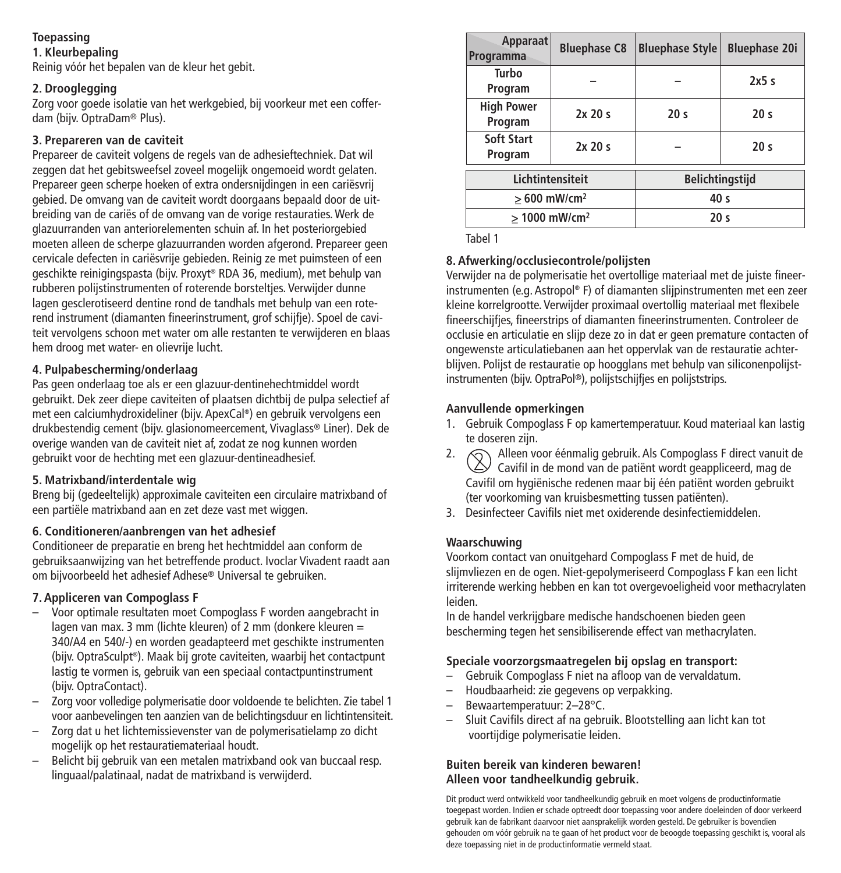## **Toepassing**

### **1. Kleurbepaling**

Reinig vóór het bepalen van de kleur het gebit.

### **2. Drooglegging**

Zorg voor goede isolatie van het werkgebied, bij voorkeur met een cofferdam (bijv. OptraDam® Plus).

### **3. Prepareren van de caviteit**

Prepareer de caviteit volgens de regels van de adhesieftechniek. Dat wil zeggen dat het gebitsweefsel zoveel mogelijk ongemoeid wordt gelaten. Prepareer geen scherpe hoeken of extra ondersnijdingen in een cariësvrij gebied. De omvang van de caviteit wordt doorgaans bepaald door de uitbreiding van de cariës of de omvang van de vorige restauraties.Werk de glazuurranden van anteriorelementen schuin af. In het posteriorgebied moeten alleen de scherpe glazuurranden worden afgerond. Prepareer geen cervicale defecten in cariësvrije gebieden. Reinig ze met puimsteen of een geschikte reinigingspasta (bijv. Proxyt ® RDA 36, medium), met behulp van rubberen polijstinstrumenten of roterende borsteltjes. Verwijder dunne lagen gesclerotiseerd dentine rond de tandhals met behulp van een roterend instrument (diamanten fineerinstrument, grof schijfje). Spoel de caviteit vervolgens schoon met water om alle restanten te verwijderen en blaas hem droog met water- en olievrije lucht.

### **4. Pulpabescherming/onderlaag**

Pas geen onderlaag toe als er een glazuur-dentinehechtmiddel wordt gebruikt. Dek zeer diepe caviteiten of plaatsen dichtbij de pulpa selectief af met een calciumhydroxideliner (bijv. ApexCal ®) en gebruik vervolgens een drukbestendig cement (bijv. glasionomeercement, Vivaglass® Liner). Dek de overige wanden van de caviteit niet af, zodat ze nog kunnen worden gebruikt voor de hechting met een glazuur-dentineadhesief.

### **5. Matrixband/interdentale wig**

Breng bij (gedeeltelijk) approximale caviteiten een circulaire matrixband of een partiële matrixband aan en zet deze vast met wiggen.

### **6. Conditioneren/aanbrengen van het adhesief**

Conditioneer de preparatie en breng het hechtmiddel aan conform de gebruiksaanwijzing van het betreffende product. Ivoclar Vivadent raadt aan om bijvoorbeeld het adhesief Adhese® Universal te gebruiken.

### **7. Appliceren van Compoglass F**

- Voor optimale resultaten moet Compoglass F worden aangebracht in lagen van max. 3 mm (lichte kleuren) of 2 mm (donkere kleuren = 340/A4 en 540/-) en worden geadapteerd met geschikte instrumenten (bijv. OptraSculpt ®). Maak bij grote caviteiten, waarbij het contactpunt lastig te vormen is, gebruik van een speciaal contactpuntinstrument (bijv. OptraContact).
- Zorg voor volledige polymerisatie door voldoende te belichten. Zie tabel 1 voor aanbevelingen ten aanzien van de belichtingsduur en lichtintensiteit.
- Zorg dat u het lichtemissievenster van de polymerisatielamp zo dicht mogelijk op het restauratiemateriaal houdt.
- Belicht bij gebruik van een metalen matrixband ook van buccaal resp. linguaal/palatinaal, nadat de matrixband is verwijderd.

| Apparaat<br>Programma        | <b>Bluephase C8</b> | <b>Bluephase Style</b> | <b>Bluephase 20i</b> |
|------------------------------|---------------------|------------------------|----------------------|
| Turbo<br>Program             |                     |                        | 2x5s                 |
| <b>High Power</b><br>Program | 2x20s               | 20 <sub>s</sub>        | 20 <sub>s</sub>      |
| Soft Start<br>Program        | 2x20s               |                        | 20 <sub>s</sub>      |
| Lichtintensiteit             |                     | Belichtingstijd        |                      |
| $>600$ mW/cm <sup>2</sup>    |                     | 40 <sub>s</sub>        |                      |
| > 1000 mW/cm <sup>2</sup>    |                     | 20 <sub>s</sub>        |                      |

Tabel 1

### **8. Afwerking/occlusiecontrole/polijsten**

Verwijder na de polymerisatie het overtollige materiaal met de juiste fineerinstrumenten (e.g. Astropol ® F) of diamanten slijpinstrumenten met een zeer kleine korrelgrootte. Verwijder proximaal overtollig materiaal met flexibele fineerschijfjes, fineerstrips of diamanten fineerinstrumenten. Controleer de occlusie en articulatie en slijp deze zo in dat er geen premature contacten of ongewenste articulatiebanen aan het oppervlak van de restauratie achterblijven. Polijst de restauratie op hoogglans met behulp van siliconenpolijstinstrumenten (bijv. OptraPol ®), polijstschijfjes en polijststrips.

### **Aanvullende opmerkingen**

- 1. Gebruik Compoglass F op kamertemperatuur. Koud materiaal kan lastig te doseren zijn.
- 2.  $\bigcirc$  Alleen voor éénmalig gebruik. Als Compoglass F direct vanuit de Cavifil in de mond van de patiënt wordt geappliceerd, mag de Cavifil om hygiënische redenen maar bij één patiënt worden gebruikt (ter voorkoming van kruisbesmetting tussen patiënten).
- 3. Desinfecteer Cavifils niet met oxiderende desinfectiemiddelen.

### **Waarschuwing**

Voorkom contact van onuitgehard Compoglass F met de huid, de slijmvliezen en de ogen. Niet-gepolymeriseerd Compoglass F kan een licht irriterende werking hebben en kan tot overgevoeligheid voor methacrylaten leiden.

In de handel verkrijgbare medische handschoenen bieden geen bescherming tegen het sensibiliserende effect van methacrylaten.

### **Speciale voorzorgsmaatregelen bij opslag en transport:**

- Gebruik Compoglass F niet na afloop van de vervaldatum.
- Houdbaarheid: zie gegevens op verpakking.
- Bewaartemperatuur: 2–28°C.
- Sluit Cavifils direct af na gebruik. Blootstelling aan licht kan tot voortijdige polymerisatie leiden.

### **Buiten bereik van kinderen bewaren! Alleen voor tandheelkundig gebruik.**

Dit product werd ontwikkeld voor tandheelkundig gebruik en moet volgens de productinformatie toegepast worden. Indien er schade optreedt door toepassing voor andere doeleinden of door verkeerd gebruik kan de fabrikant daarvoor niet aansprakelijk worden gesteld. De gebruiker is bovendien gehouden om vóór gebruik na te gaan of het product voor de beoogde toepassing geschikt is, vooral als deze toepassing niet in de productinformatie vermeld staat.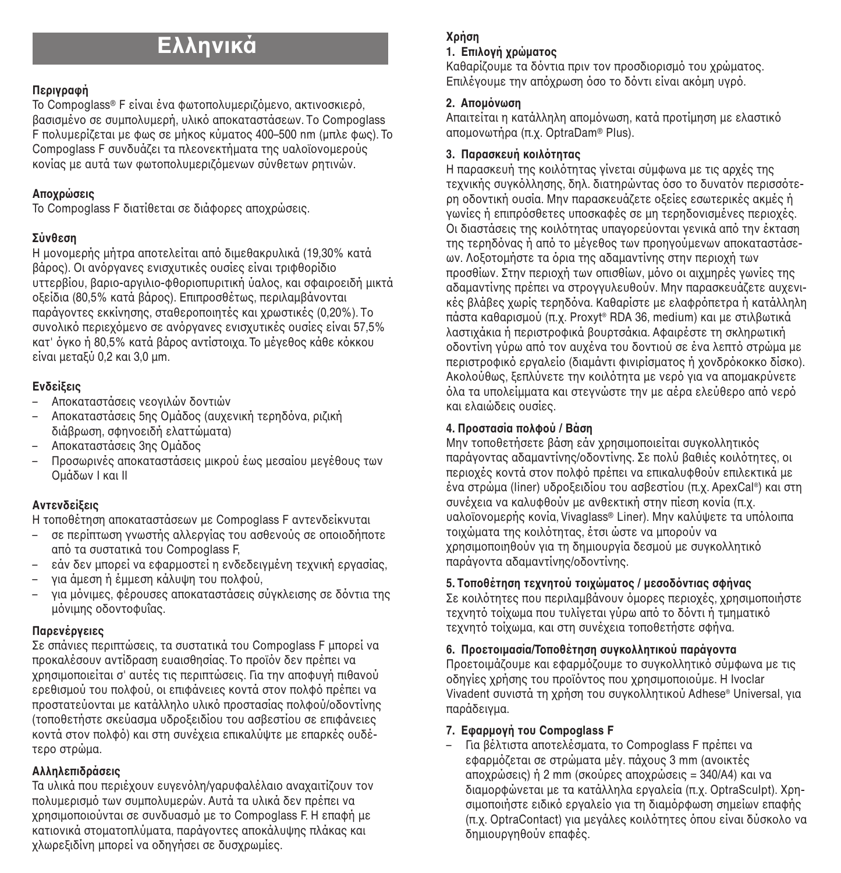# **Ελληνικά**

### **ΠεριγραCή**

To Compoglass® F είναι ένα φωτοπολυμεριζόμενο, ακτινοσκιερό, Βασισμένο σε συμπολυμερή, υλικό αποκαταστάσεων. Το Compoglass  $F$  πολυμερίζεται με φως σε μήκος κύματος 400–500 nm (μπλε φως). Το Compoglass F συνδυάζει τα πλεονεκτήματα της υαλοϊονομερούς κονίας με αυτά των φωτοπολυμεριζόμενων σύνθετων ρητινών.

### **Απογρώσεις**

To Compoglass F διατίθεται σε διάφορες αποχρώσεις.

### **Σύνθεση**

Η μονομερής μήτρα αποτελείται από διμεθακρυλικά (19,30% κατά Bάρος). Oι ανόργανες ενισχυτικές ουσίες είναι τριφθορίδιο υττερRίoυ, Rαριo-αργιλιo-φθoριoπυριτική ύαλoς, και σφαιρoειδή µικτά oZείδια (80,5% κατά Rάρoς). Επιπρoσθέτως, περιλαµRάνoνται παράγοντες εκκίνησης, σταθεροποιητές και χρωστικές (0,20%). Τo συνολικό περιεχόμενο σε ανόργανες ενισχυτικές ουσίες είναι 57.5% κατ' όγκo ή 80,5% κατά βάρος αντίστοιχα. Το μέγεθος κάθε κόκκου είναι µεταZύ 0,2 και 3,0 µm.

### **EνδείGεις**

- Απoκαταστάσεις νεoγιλών δoντιών
- Αποκαταστάσεις 5ης Ομάδος (αυγενική τερηδόνα, ριζική διάβρωση, σφηνοειδή ελαττώματα)
- Aπ\_καταστάσεις 3ης Oµάδ\_ς
- Πρoσωρινές απoκαταστάσεις µικρoύ έως µεσαίoυ µεγέθoυς των Oµάδων I και II

### **AντενδείGεις**

Η τoπoθέτηση απoκαταστάσεων µε Compoglass F αντενδείκνυται

- σε περίπτωση γνωστής αλλεργίας τoυ ασθενoύς σε oπoιoδήπoτε από τα συστατικά του Compoglass F.
- εάν δεν μπορεί να εφαρμοστεί η ενδεδεινμένη τεχνική εργασίας,
- για άµεση ή έµµεση κάλυψη τoυ πoλφoύ,
- νια μόνιμες, φέρουσες αποκαταστάσεις σύγκλεισης σε δόντια της μόνιμης οδοντοφυΐας.

### **Παρενέργειες**

Σε σπάνιες περιπτώσεις, τα συστατικά τoυ Compoglass F µπoρεί να προκαλέσουν αντίδραση ευαισθησίας. Το προϊόν δεν πρέπει να hρησιµoπoιείται σ' αυτές τις περιπτώσεις. Για την απoφυγή πιθανoύ ερεθισμού του πολφού, οι επιφάνειες κοντά στον πολφό πρέπει να προστατεύονται με κατάλληλο υλικό προστασίας πολφού/οδοντίνης (τoπoθετήστε σκεύασµα υδρoZειδίoυ τoυ ασRεστίoυ σε επιφάνειες κοντά στον πολφό) και στη συνέχεια επικαλύψτε με επαρκές ουδέτερo στρώµα.

### **Aλληλεπιδράσεις**

Τα υλικά που περιέχουν ευγενόλη/γαρυφαλέλαιο αναγαιτίζουν τoν πoλυµερισµO των συµπoλυµερών. Αυτά τα υλικά δεν πρέπει να χρησιμοποιούνται σε συνδυασμό με το Compoglass F. Η επαφή με κατιoνικά στoµατoπλύµατα, παράγoντες απoκάλυψης πλάκας και χλωρεξιδίνη μπορεί να οδηγήσει σε δυσχρωμίες.

## **7ρήση**

### **1. Επιλονή γρώματος**

καθαρίζουμε τα δόντια πριν τον προσδιορισμό του χρώματος. Επιλέγουμε την απόγρωση όσο το δόντι είναι ακόμη υγρό.

### **2.** Απομόνωση

Απαιτείται η κατάλληλη απομόνωση, κατά προτίμηση με ελαστικό απομονωτήρα (π.γ. OptraDam® Plus).

### **3.** Παρασκευή κοιλότητας

Η παρασκευή της κοιλότητας γίνεται σύμφωνα με τις αρχές της τεχνικής συνκόλλησης, δηλ. διατηρώντας όσο το δυνατόν περισσότερη oδoντική oυσία. Μην παρασκευάjετε oZείες εσωτερικές ακµές ή νωνίες ή επιπρόσθετες υποσκαφές σε un τερηδονισμένες περιοχές. Οι διαστάσεις της κοιλότητας υπαγορεύονται γενικά από την έκταση της τερηδόνας ή από το μέγεθος των προηγούμενων αποκαταστάσεων. Λoξoτoμήστε τα όρια της αδαμαντίνης στην περιoχή των προσθίων. Στην περιοχή των οπισθίων, μόνο οι αιχμηρές γωνίες της αδαμαντίνης πρέπει να στρογγυλευθούν. Μην παρασκευάζετε αυχενικές βλάβες χωρίς τερηδόνα. Καθαρίστε με ελαφρόπετρα ή κατάλληλη πάστα καθαρισμού (π.χ. Proxyt® RDA 36, medium) και με στιλβωτικά λαστιγάκια ή περιστροφικά βουρτσάκια. Αφαιρέστε τη σκληρωτική οδοντίνη γύρω από τον αυχένα του δοντιού σε ένα λεπτό στρώμα με περιστρoφικό εργαλείo (διαμάντι φινιρίσματoς ή χονδρόκoκκo δίσκo). Aκολούθως, Σεπλύνετε την κοιλότητα με νερό για να απομακρύνετε όλα τα υπολείμματα και στεννώστε την με αέρα ελεύθερο από νερό και ελαιώδεις oυσίες.

### **4. Πρoστασία πoλφoύ / Βάση**

Μην τοποθετήσετε βάση εάν χρησιμοποιείται συγκολλητικός παράγοντας αδαμαντίνης/οδοντίνης. Σε πολύ βαθιές κοιλότητες, οι περιoχές κoντά στoν πoλφό πoέπει να επικαλυφθoύν επιλεκτικά με ένα στρώμα (liner) υδροξειδίου του ασβεστίου (π.χ. ApexCal®) και στη συνέχεια να καλυφθούν με ανθεκτική στην πίεση κονία (π.χ. υαλοΐονουερής κονία, Vivaglass® Liner). Μην καλύψετε τα υπόλοιπα τοιχώματα της κοιλότητας, έτσι ώστε να μπορούν να χρησιμοποιηθούν για τη δημιουργία δεσμού με συγκολλητικό παράγoντα αδαµαντίνης/oδoντίνης.

### $5.$  **Τoπoθέτηση τεγνητού τoιγώματoς** / μεσoδόντιας σφήνας

Σε κοιλότητες που περιλαμβάνουν όμορες περιοχές, χρησιμοποιήστε τεχνητό τοίχωμα που τυλίγεται γύρω από το δόντι ή τυηματικό τεχνητό τοίχωμα, και στη συνέχεια τοποθετήστε σφήνα.

### **6. Πρoετoιμασία/Τoπoθέτηση συγκoλλητικoύ παράγoντα**

Πρoετoιμάζoυμε και εφαρμόζoυμε τo συγκoλλητικo σύμφωνα με τις oδηγίες χρήσης του προϊόντος που χρησιμοποιούμε. Η Ivoclar Vivadent συνιστά τη χρήση του συγκολλητικού Adhese® Universal, για παράδειγµα.

### **7.** Εφαρμονή του Compoglass **F**

– Για Rέλτιστα απoτελέσµατα, τo Compoglass F πρέπει να εφαρμόζεται σε στρώματα μέν. πάγους 3 mm (ανοικτές αποχρώσεις) ή 2 mm (σκούρες αποχρώσεις = 340/A4) και να διαμορφώνεται με τα κατάλληλα εργαλεία (π.χ. OptraSculpt). Χρησιµοποιήστε ειδικό εργαλείο για τη διαµορφωση σηµείων επαφής (π.χ. OptraContact) για μεγάλες κοιλότητες όπου είναι δύσκολο να δηµιoυργηθoύν επαφές.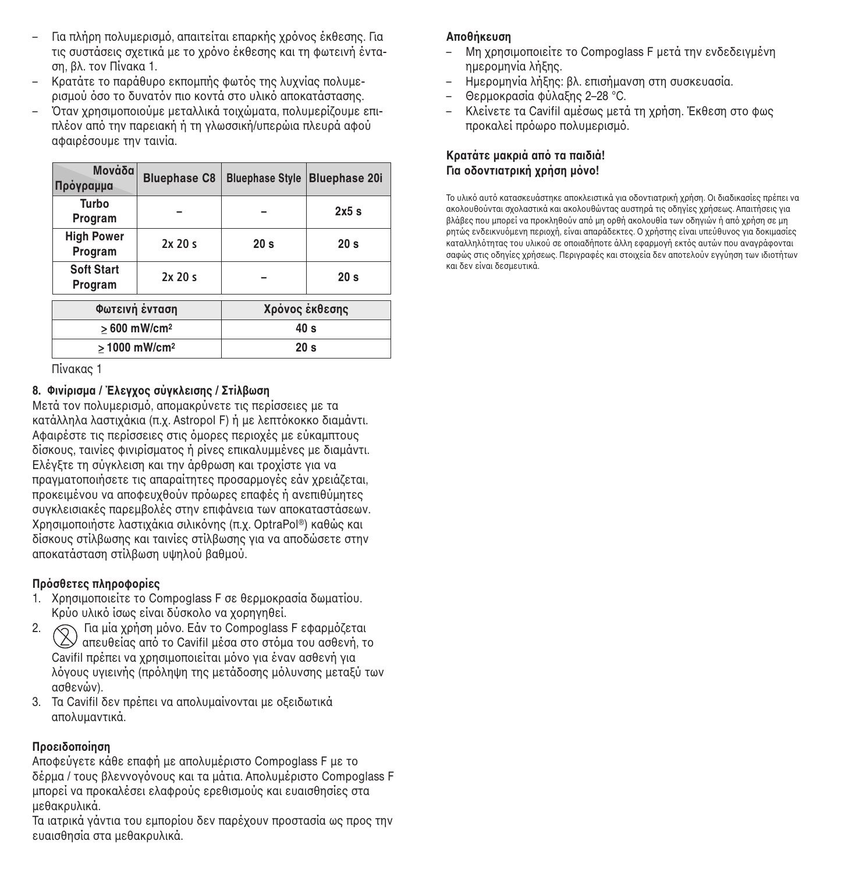- Για πλήρη πολυμερισμό, απαιτείται επαρκής χρόνος έκθεσης. Για τις συστάσεις σχετικά με το χρόνο έκθεσης και τη φωτεινή ένταση, Rλ. τoν Πίνακα 1.
- Κρατάτε το παράθυρο εκπομπής φωτός της λυχνίας πολυμερισμού όσο το δυνατόν πιο κοντά στο υλικό αποκατάστασης.
- Kταν hρησιnoπoιoύnε nεταλλικά τoιhώnατα, πoλυnερίjoυnε επιπλέον από την παρειακή ή τη γλωσσική/υπερώια πλευρά αφού αφαιρέσoυnε την ταινία.

| Moνάδα<br>Πρόγραμμα          | <b>Bluephase C8</b> | <b>Bluephase Style</b> | <b>Bluephase 20i</b> |
|------------------------------|---------------------|------------------------|----------------------|
| Turbo<br>Program             |                     |                        | 2x5s                 |
| <b>High Power</b><br>Program | 2x20s               | 20 <sub>s</sub>        | 20 <sub>s</sub>      |
| <b>Soft Start</b><br>Program | 2x20s               |                        | 20 <sub>s</sub>      |
| Φωτεινή ένταση               |                     | Χρόνος έκθεσης         |                      |
| $>600$ mW/cm <sup>2</sup>    |                     | 40 <sub>s</sub>        |                      |
| > 1000 mW/cm <sup>2</sup>    |                     | 20 <sub>s</sub>        |                      |

Πίνακας 1

### **8. Φινίρισµα / ΈλεγUoς σύγκλεισης / Στίλ@ωση**

Mετά τον πολυμερισμό, απομακρύνετε τις περίσσειες με τα κατάλληλα λαστιχάκια (π.χ. Astropol F) ή με λεπτόκοκκο διαμάντι. Αφαιρέστε τις περίσσειες στις όμορες περιοχές με εύκαμπτους δίσκoυς, ταινίες φινιρίσµατoς ή ρίνες επικαλυµµένες µε διαµάντι. Ελένξτε τη σύγκλειση και την άρθρωση και τρoχίστε για να πραγματοποιήσετε τις απαραίτητες προσαρμογές εάν χρειάζεται, προκειμένου να αποφευχθούν πρόωρες επαφές ή ανεπιθύμητες συγκλεισιακές παρεµRoλές στην επιφάνεια των απoκαταστάσεων. Χρησιμοποιήστε λαστιχάκια σιλικόνης (π.χ. OptraPol®) καθώς και δίσκoυς στίλRωσης και ταινίες στίλRωσης για να απoδώσετε στην απoκατάσταση στίλRωση υψηλoύ Rαθµoύ.

### **Πρόσθετες πληροφορίες**

- 1. Χρησιμοποιείτε το Compoglass F σε θερμοκρασία δωματίου. Κρύο υλικό ίσως είναι δύσκολο να χροηνηθεί.
- 2.  $\bigcap$  Για μία χρήση μόνο. Εάν το Compoglass F εφαρμόζεται  $\vee$  απευθείας από το Cavifil μέσα στο στόμα του ασθενή, το Cavifil πρέπει να χρησιμοποιείται μόνο για έναν ασθενή για λόγους υγιεινής (πρόληψη της μετάδοσης μόλυνσης μεταξύ των ασθενών).
- 3. Τα Cavifil δεν πρέπει να απολυμαίνονται με οξειδωτικά απoλυµαντικά.

### **Προειδοποίηση**

Απoφεύγετε κάθε επαφή µε απoλυµέριστo Compoglass F µε τo δέρμα / τους βλεννονόνους και τα μάτια. Απολυμέριστο Compoglass F µπoρεί να πρoκαλέσει ελαφρoύς ερεθισµoύς και ευαισθησίες στα µεθακρυλικά.

Τα ιατρικά νάντια του εμπορίου δεν παρέχουν προστασία ως προς την ευαισθησία στα µεθακρυλικά.

### **Αποθήκευση**

- Μη hρησιnoπoιείτε τo Compoglass F nετά την ενδεδειγnένη ηnερonηνία λήZης.
- Ηnερonηνία λήZης: Rλ. επισήµανση στη συσκευασία.
- Θερµoκρασία φύλαZης 2–28 °C.
- Κλείνετε τα Cavifil αμέσως μετά τη χρήση. Έκθεση στο φως προκαλεί πρόωρο πολυμερισμό.

#### **Kρατάτε µακριά** από τα παιδιά!  $\Gamma$ Ια οδοντιατρική γρήση μόνο!

Το υλικό αυτό κατασκευάστηκε αποκλειστικά για οδοντιατρική χρήση. Οι διαδικασίες πρέπει να ακολουθούνται σχολαστικά και ακολουθώντας αυστηρά τις οδηγίες χρήσεως. Απαιτήσεις για βλάβες που μπορεί να προκληθούν από μη ορθή ακολουθία των οδηγιών ή από χρήση σε μη ρητώς ενδεικνυόμενη περιοχή, είναι απαράδεκτες. Ο χρήστης είναι υπεύθυνος για δοκιμασίες καταλληλότητας του υλικού σε οποιαδήποτε άλλη εφαρμογή εκτός αυτών που αναγράφονται σαφώς στις οδηγίες χρήσεως. Περιγραφές και στοιχεία δεν αποτελούν εγγύηση των ιδιοτήτων και δεν είναι δεσµευτικά.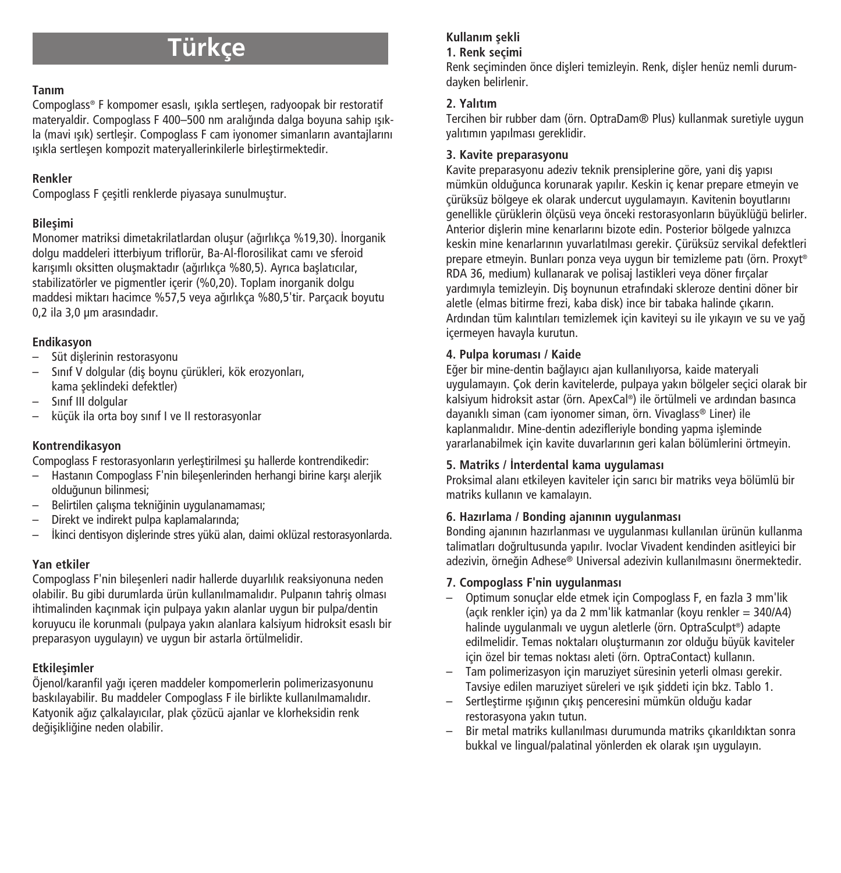# **Türkçe**

### **Tanım**

Compoglass® F kompomer esaslı, ışıkla sertleşen, radyoopak bir restoratif materyaldir. Compoglass F 400–500 nm aralığında dalga boyuna sahip ısıkla (mavi ışık) sertleşir. Compoglass F cam iyonomer simanların avantajlarını ışıkla sertleşen kompozit materyallerinkilerle birleştirmektedir.

### **Renkler**

Compoglass F çeşitli renklerde piyasaya sunulmuştur.

### **Bileflimi**

Monomer matriksi dimetakrilatlardan oluşur (ağırlıkça %19,30). İnorganik dolgu maddeleri itterbiyum triflorür, Ba-Al-florosilikat camı ve sferoid karışımlı oksitten oluşmaktadır (ağırlıkça %80,5). Ayrıca başlatıcılar, stabilizatörler ve pigmentler içerir (%0,20). Toplam inorganik dolgu maddesi miktarı hacimce %57,5 veya a¤ırlıkça %80,5'tir. Parçacık boyutu 0,2 ila 3,0 µm arasındadır.

### **Endikasyon**

- Süt dislerinin restorasyonu
- Sınıf V dolgular (diş boynu çürükleri, kök erozyonları, kama seklindeki defektler)
- Sınıf III dolgular
- küçük ila orta boy sınıf I ve II restorasyonlar

### **Kontrendikasyon**

Compoglass F restorasyonların yerleştirilmesi su hallerde kontrendikedir:

- Hastanın Compoglass F'nin bilesenlerinden herhangi birine karşı aleriik olduăunun bilinmesi:
- Belirtilen çalışma tekniğinin uygulanamaması;
- Direkt ve indirekt pulpa kaplamalarında;
- İkinci dentisyon dişlerinde stres yükü alan, daimi oklüzal restorasyonlarda.

### **Yan etkiler**

Compoglass F'nin bilesenleri nadir hallerde duyarlılık reaksiyonuna neden olabilir. Bu gibi durumlarda ürün kullanılmamalıdır. Pulpanın tahris olması ihtimalinden kaçınmak için pulpaya yakın alanlar uygun bir pulpa/dentin koruyucu ile korunmalı (pulpaya yakın alanlara kalsiyum hidroksit esaslı bir preparasyon uygulayın) ve uygun bir astarla örtülmelidir.

### **Etkilesimler**

Öjenol/karanfil ya¤ı içeren maddeler kompomerlerin polimerizasyonunu baskılayabilir. Bu maddeler Compoglass F ile birlikte kullanılmamalıdır. Katyonik ağız çalkalayıcılar, plak çözücü ajanlar ve klorheksidin renk deăisikliğine neden olabilir.

### **Kullanım** sekli

### **1. Renk seçimi**

Renk seçiminden önce dişleri temizleyin. Renk, dişler henüz nemli durumdayken belirlenir.

### **2. Yalıtım**

Tercihen bir rubber dam (örn. OptraDam® Plus) kullanmak suretiyle uygun yalıtımın yapılması gereklidir.

### **3. Kavite preparasyonu**

Kavite preparasyonu adeziv teknik prensiplerine göre, yani diş yapısı mümkün oldu¤unca korunarak yapılır. Keskin iç kenar prepare etmeyin ve çürüksüz bölgeye ek olarak undercut uygulamayın. Kavitenin boyutlarını genellikle çürüklerin ölçüsü veya önceki restorasyonların büyüklüğü belirler. Anterior dislerin mine kenarlarını bizote edin. Posterior bölgede yalnızca keskin mine kenarlarının yuvarlatılması gerekir. Çürüksüz servikal defektleri prepare etmeyin. Bunları ponza veya uygun bir temizleme patı (örn. Proxyt ® RDA 36, medium) kullanarak ve polisaj lastikleri veya döner fırçalar yardımıyla temizleyin. Diş boynunun etrafındaki skleroze dentini döner bir aletle (elmas bitirme frezi, kaba disk) ince bir tabaka halinde çıkarın. Ardından tüm kalıntıları temizlemek için kaviteyi su ile yıkayın ve su ve yağ içermeyen havayla kurutun.

### **4. Pulpa koruması / Kaide**

Eğer bir mine-dentin bağlayıcı ajan kullanılıyorsa, kaide materyali uygulamayın. Çok derin kavitelerde, pulpaya yakın bölgeler seçici olarak bir kalsiyum hidroksit astar (örn. ApexCal ®) ile örtülmeli ve ardından basınca dayanıklı siman (cam iyonomer siman, örn. Vivaglass® Liner) ile kaplanmalıdır. Mine-dentin adezifleriyle bonding yapma işleminde yararlanabilmek için kavite duvarlarının geri kalan bölümlerini örtmeyin.

### **5. Matriks / ‹nterdental kama uygulaması**

Proksimal alanı etkileyen kaviteler için sarıcı bir matriks veya bölümlü bir matriks kullanın ve kamalayın.

### **6. Hazırlama / Bonding ajanının uygulanması**

Bonding ajanının hazırlanması ve uygulanması kullanılan ürünün kullanma talimatları do¤rultusunda yapılır. Ivoclar Vivadent kendinden asitleyici bir adezivin, örneğin Adhese® Universal adezivin kullanılmasını önermektedir.

### **7. Compoglass F'nin uygulanması**

- Optimum sonuçlar elde etmek için Compoglass F, en fazla 3 mm'lik (açık renkler için) ya da 2 mm'lik katmanlar (koyu renkler = 340/A4) halinde uygulanmalı ve uygun aletlerle (örn. OptraSculpt ®) adapte edilmelidir. Temas noktaları olusturmanın zor olduğu büyük kaviteler için özel bir temas noktası aleti (örn. OptraContact) kullanın.
- Tam polimerizasyon için maruziyet süresinin yeterli olması gerekir. Tavsiye edilen maruziyet süreleri ve ışık şiddeti için bkz. Tablo 1.
- Sertleştirme ışığının çıkış penceresini mümkün olduğu kadar restorasyona yakın tutun.
- Bir metal matriks kullanılması durumunda matriks çıkarıldıktan sonra bukkal ve lingual/palatinal yönlerden ek olarak ısın uygulayın.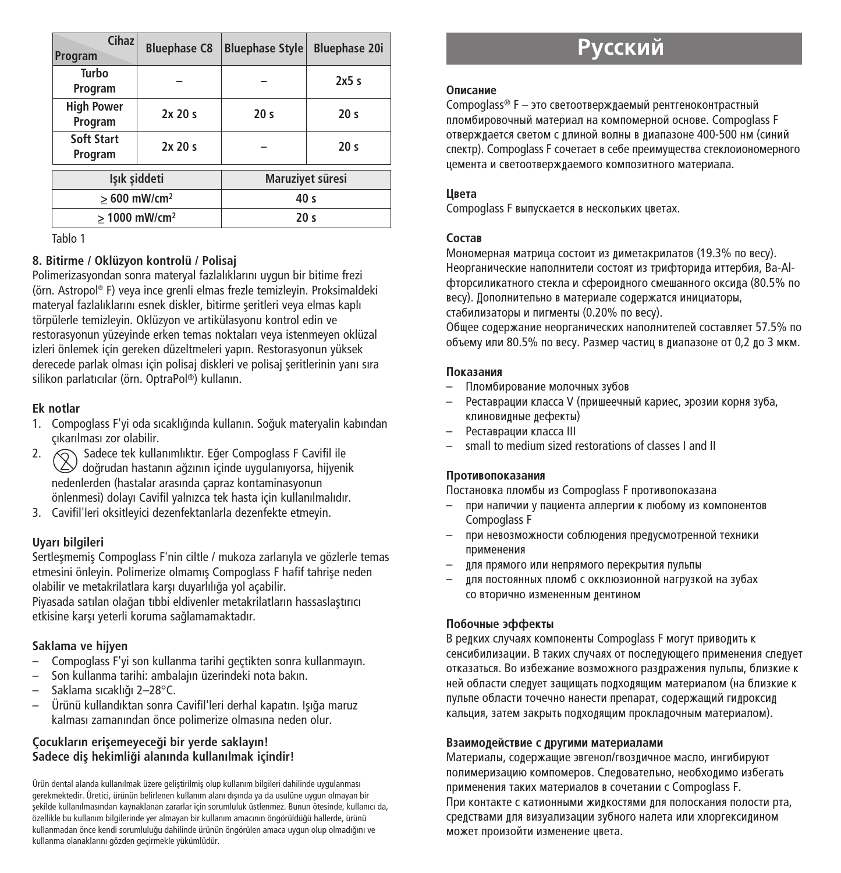| Cihaz<br>Program             | <b>Bluephase C8</b> | <b>Bluephase Style</b> | <b>Bluephase 20i</b> |
|------------------------------|---------------------|------------------------|----------------------|
| Turbo<br>Program             |                     |                        | 2x5s                 |
| <b>High Power</b><br>Program | 2x20s               | 20 <sub>s</sub>        | 20 <sub>s</sub>      |
| Soft Start<br>Program        | 2x20s               |                        | 20 <sub>s</sub>      |
| Isık siddeti                 |                     | Maruziyet süresi       |                      |
| $>600$ mW/cm <sup>2</sup>    |                     | 40 s                   |                      |
| > 1000 mW/cm <sup>2</sup>    |                     | 20 <sub>s</sub>        |                      |

Tablo 1

### **8. Bitirme / Oklüzyon kontrolü / Polisaj**

Polimerizasyondan sonra materyal fazlalıklarını uygun bir bitime frezi (örn. Astropol ® F) veya ince grenli elmas frezle temizleyin. Proksimaldeki materyal fazlalıklarını esnek diskler, bitirme seritleri yeya elmas kaplı törpülerle temizleyin. Oklüzyon ve artikülasyonu kontrol edin ve restorasyonun yüzeyinde erken temas noktaları veya istenmeyen oklüzal izleri önlemek için gereken düzeltmeleri yapın. Restorasyonun yüksek derecede parlak olması için polisaj diskleri ve polisaj seritlerinin yanı sıra silikon parlatıcılar (örn. OptraPol ®) kullanın.

### **Ek notlar**

- 1. Compoglass F'yi oda sıcaklığında kullanın. Soğuk materyalin kabından çıkarılması zor olabilir.
- 2. Sadece tek kullanımlıktır. Eğer Compoglass F Cavifil ile  $\triangle$ doğrudan hastanın ağzının içinde uygulanıyorsa, hijyenik nedenlerden (hastalar arasında çapraz kontaminasyonun önlenmesi) dolayı Cavifil yalnızca tek hasta için kullanılmalıdır.
- 3. Cavifil'leri oksitleyici dezenfektanlarla dezenfekte etmeyin.

### **Uyarı bilgileri**

Sertlesmemis Compoglass F'nin ciltle / mukoza zarlarıyla ve gözlerle temas etmesini önleyin. Polimerize olmamış Compoglass F hafif tahrise neden olabilir ve metakrilatlara karşı duyarlılığa yol açabilir.

Piyasada satılan olağan tıbbi eldiyenler metakrilatların hassaslastırıcı etkisine karşı yeterli koruma sağlamamaktadır.

### **Saklama ve hijyen**

- Compoglass F'yi son kullanma tarihi geçtikten sonra kullanmayın.
- Son kullanma tarihi: ambalajın üzerindeki nota bakın.
- Saklama sıcaklı¤ı 2–28°C.
- Ürünü kullandıktan sonra Cavifil'leri derhal kapatın. Işığa maruz kalması zamanından önce polimerize olmasına neden olur.

### **Çocukların eriflemeyece¤i bir yerde saklayın!**  $S$ adece dis hekimliği alanında kullanılmak içindir!

Ürün dental alanda kullanılmak üzere geliştirilmiş olup kullanım bilgileri dahilinde uygulanması gerekmektedir. Üretici, ürünün belirlenen kullanım alanı dışında ya da usulüne uygun olmayan bir flekilde kullanılmasından kaynaklanan zararlar için sorumluluk üstlenmez. Bunun ötesinde, kullanıcı da, özellikle bu kullanım bilgilerinde yer almayan bir kullanım amacının öngörüldüğü hallerde, ürünü kullanmadan önce kendi sorumluluğu dahilinde ürünün öngörülen amaca uygun olup olmadığını ve kullanma olanaklarını gözden geçirmekle yükümlüdür.

# **Р**усский

#### **Onucauue**

Compoglass® F – это светоотверждаемый рентгеноконтрастный пломбировочный материал на компомерной основе. Compoglass F отверждается светом с длиной волны в диапазоне 400-500 нм (синий cпектр). Compoglass F сочетает в себе преимущества стеклоиономерного цемента и светоотвержлаемого композитного материала.

#### **U**<sub>Beta</sub>

Compoglass F выпускается в нескольких цветах.

### $C$ <sup>O</sup>CT<sub>2</sub>B

Мономерная матрица состоит из диметакрилатов (19.3% по весу). Неорганические наполнители состоят из трифторида иттербия, Ba-Alфторсиликатного стекла и сфероидного смешанного оксида (80.5% по весу). Дополнительно в материале содержатся инициаторы, стабилизаторы и пигменты (0.20% по весу).

Общее содержание неорганических наполнителей составляет 57.5% по объему или 80.5% по весу. Размер частиц в лиапазоне от 0.2 ло 3 мкм.

#### Показания

- Пломбирование молочных зубов
- Реставрации класса V (пришеечный кариес, эрозии корня зуба, клиновилные лефекты)
- Реставрации класса III
- small to medium sized restorations of classes I and II

### Противопоказания

Постановка пломбы из Compoglass F противопоказана

- при напичии у пациента аппергии к пюбому из компонентов Compoglass F
- при невозможности соблюдения предусмотренной техники применения
- для прямого или непрямого перекрытия пульпы
- пля постоянных пломб с окклюзионной нагрузкой на зубах СО ВТОРИЧНО ИЗМЕНЕННЫМ ДЕНТИНОМ

### Побочные эффекты

В редких случаях компоненты Compoglass F могут приводить к сенсибилизации. В таких случаях от последующего применения следует отказаться. Во избежание возможного разлражения пульпы, близкие к ней области следует защищать подходящим материалом (на близкие к пульпе области точечно нанести препарат, содержащий гидроксид кальция, затем закрыть подходящим прокладочным материалом).

### Взаимодействие с другими материалами

Материалы, содержащие эвгенол/гвоздичное масло, ингибируют полимеризацию компомеров. Следовательно, необходимо избегать применения таких материалов в сочетании с Compoglass F. При контакте с катионными жидкостями для полоскания полости рта, средствами для визуализации зубного налета или хлоргексидином может произойти изменение цвета.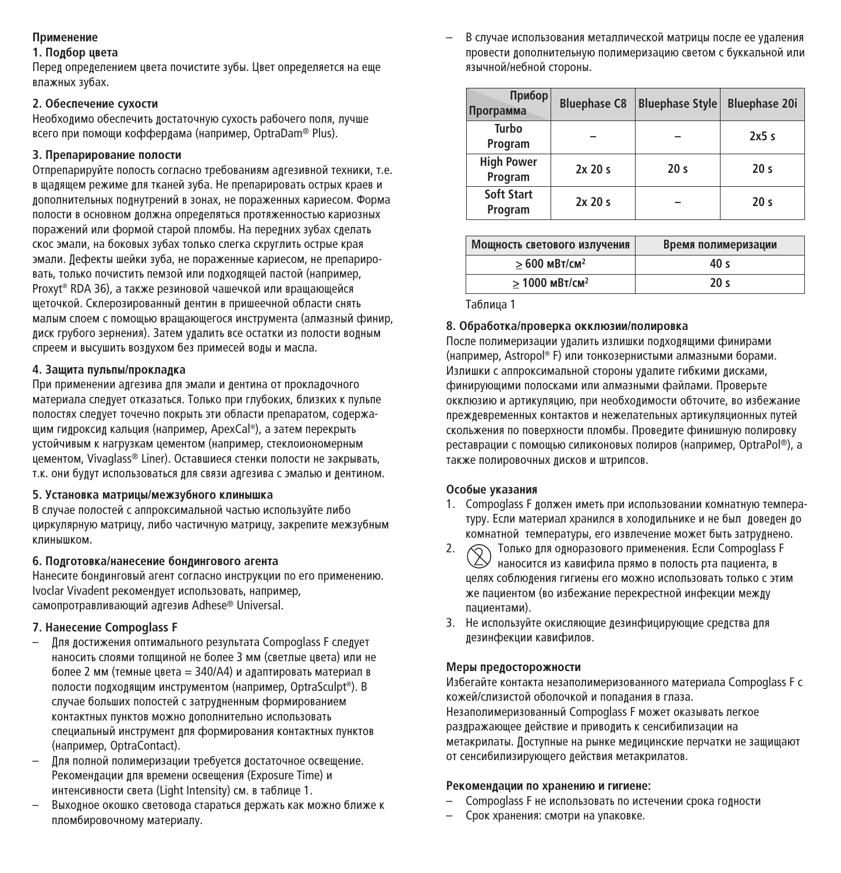### **Применение**

#### **1.** Подбор цвета

Перед определением цвета почистите зубы. Цвет определяется на еще влажных зубах.

### **2.** Обеспечение сухости

Необхолимо обеспечить лостаточную сухость рабочего поля, пучше всего при помоши кофферлама (например, OptraDam® Plus).

### $3.$  Препарирование полости

Отпрепарируйте полость согласно требованиям адгезивной техники, т.е. в шаляшем режиме лля тканей зуба. Не препарировать острых краев и лополнительных полнутрений в зонах, не пораженных кариесом. Форма полости в основном должна определяться протяженностью кариозных поражений или формой старой пломбы. На перелних зубах слелать скос эмали, на боковых зубах только слегка скруглить острые края эмали. Дефекты шейки зуба, не пораженные кариесом, не препарировать, только почистить пемзой или полхоляшей пастой (например, Proxyt® RDA 36), а также резиновой чашечкой или вращающейся щеточкой. Склерозированный лентин в пришеечной области снять малым слоем с помошью врашающегося инструмента (алмазный финир, лиск грубого зернения). Затем улалить все остатки из полости волным спреем и высушить возлухом без примесей волы и масла.

### $4. 3$ ашита пульпы/проклалка

При применении адгезива для эмали и дентина от прокладочного материала следует отказаться. Только при глубоких, близких к пульпе полостях слелует точечно покрыть эти области препаратом, солержащим гидроксид кальция (например, ApexCal®), а затем перекрыть устойчивым к нагрузкам цементом (например, стеклоиономерным лементом, Vivaglass® Liner). Оставшиеся стенки полости не закрывать, т.к. они будут использоваться для связи адгезива с эмалью и дентином.

### $5.$  Установка матрицы/межзубного клинышка

В случае полостей с аппроксимальной частью используйте либо циркулярную матрицу, либо частичную матрицу, закрепите межзубным **КЛИНЫШКОМ.** 

### **6.** Подготовка/нанесение бондингового агента

Нанесите бонлинговый агент согласно инструкции по его применению. Ivoclar Vivadent рекомендует использовать, например, самопротравливающий алгезив Adhese® Universal.

### **7.** Нанесение Compoglass F

- Для лостижения оптимального результата Compoglass F следует наносить слоями толшиной не более 3 мм (светлые цвета) или не более 2 мм (темные цвета = 340/A4) и алаптировать материал в полости подходящим инструментом (например, OptraSculpt®). В случае больших полостей с затрудненным формированием КОНТАКТНЫХ ПУНКТОВ МОЖНО ЛОПОЛНИТЕЛЬНО ИСПОЛЬЗОВАТЬ специальный инструмент для формирования контактных пунктов (например, OptraContact).
- Лля полной полимеризации требуется лостаточное освещение. Рекомендации для времени освещения (Exposure Time) и интенсивности света (Light Intensity) см. в таблице 1.
- Выхолное окошко световола стараться лержать как можно ближе к пломбировочному материалу.

В случае использования металлической матрицы после ее улаления провести лополнительную полимеризацию светом с буккальной или язычной/небной стороны.

| Прибор<br>Программа          | <b>Bluephase C8</b> | <b>Bluephase Style</b> | <b>Bluephase 20i</b> |
|------------------------------|---------------------|------------------------|----------------------|
| Turbo<br>Program             |                     |                        | 2x5s                 |
| <b>High Power</b><br>Program | 2x20s               | 20 <sub>s</sub>        | 20 <sub>s</sub>      |
| Soft Start<br>Program        | 2x20s               |                        | 20 <sub>s</sub>      |

| Мощность светового излучения | Время полимеризации |  |
|------------------------------|---------------------|--|
| $>600$ MBT/CM <sup>2</sup>   | 40 s                |  |
| $> 1000$ MBT/CM <sup>2</sup> | 20 <sub>s</sub>     |  |

Таблица 1

### 8. Обработка/проверка окклюзии/полировка

После полимеризации удалить излишки подходящими финирами (например, Astropol® F) или тонкозернистыми алмазными борами. Излишки с аппроксимальной стороны удалите гибкими дисками, финирующими полосками или алмазными файлами. Проверьте окклюзию и артикуляцию, при необхолимости обточите, во избежание преждевременных контактов и нежелательных артикуляционных путей скольжения по поверхности пломбы. Проведите финишную полировку реставрации с помощью силиконовых полиров (например, OptraPol®), а также полировочных лисков и штрипсов.

### Особые указания

- 1. Compoglass F лолжен иметь при использовании комнатную температуру. Если материал хранился в холодильнике и не был доведен до комнатной температуры, его извлечение может быть затрулнено.
- 2. © Только для одноразового применения. Если Compoglass F наносится из кавифила прямо в полость рта пациента, в целях соблюления гигиены его можно использовать только с этим Же пациентом (во избежание перекрестной инфекции межлу паниентами).
- 3. Не используйте окисляющие лезинфицирующие срелства лля лезинфекции кавифилов.

### **Меры прелосторожности**

Избегайте контакта незаполимеризованного материала Compoglass F с кожей/спизистой оболочкой и полалания в глаза. Незаполимеризованный Compoglass F может оказывать легкое разлражающее лействие и приволить к сенсибилизации на метакрилаты. Доступные на рынке медицинские перчатки не защищают от сенсибилизирующего действия метакрилатов.

### Рекоменлации по хранению и гигиене:

- Compoglass F не использовать по истечении срока годности
- Срок хранения: смотри на упаковке.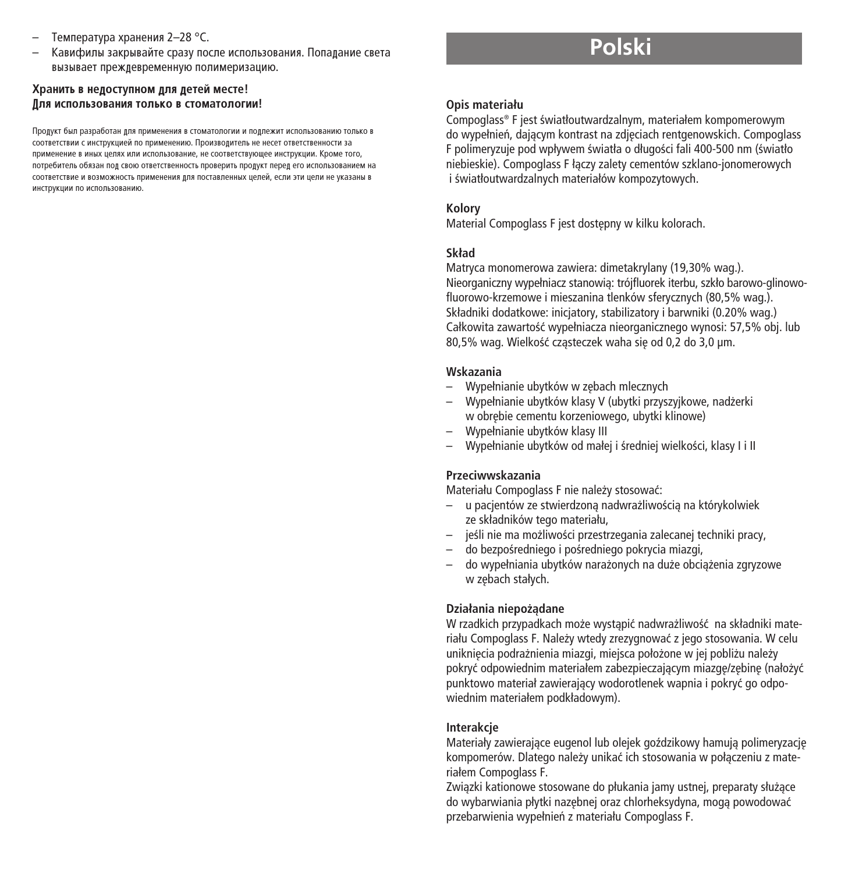- Температура хранения 2–28 °С.
- Кавифилы закрывайте сразу после использования. Попадание света вызывает преждевременную полимеризацию.

#### Хранить в недоступном для детей месте!  $\overline{\textbf{H}}$ ля использования только в стоматологии!

Пролукт был разработан лля применения в стоматологии и поллежит использованию только в COOТВЕТСТВИИ С ИНСТРУКЦИЕЙ ПО ПРИМЕНЕНИЮ. Производитель не несет ответственности за ОБИМА, ОБЪЯНИ В ИНАХ НА В ИЛИ ИСПОЛЬЗОВАНИЕ, НЕ СООТВЕТСТВУЮЩЕЕ ИНСТОУКЦИИ. КООМЕ ТОГО, потребитель обязан пол свою ответственность проверить пролукт перел его использованием на СООТВЕТСТВИЕ И ВОЗМОЖНОСТЬ ПРИМЕНЕНИЯ ДЛЯ ПОСТАВЛЕННЫХ ЦЕЛЕЙ, ЕСЛИ ЭТИ ЦЕЛИ НЕ УКАЗАНЫ В KHCTOVKIIMM DO KCDODH3ORAHMO

# **Polski**

#### **Opis materiału**

Compoglass® F jest światłoutwardzalnym, materiałem kompomerowym do wypełnień, dającym kontrast na zdjęciach rentgenowskich. Compoglass F polimeryzuje pod wpływem światła o długości fali 400-500 nm (światło niebieskie). Compoglass F łàczy zalety cementów szklano-jonomerowych i światłoutwardzalnych materiałów kompozytowych.

#### **Kolory**

Material Compoglass F jest dostepny w kilku kolorach.

#### **Skład**

Matryca monomerowa zawiera: dimetakrylany (19,30% wag.). Nieorganiczny wypełniacz stanowià: trójfluorek iterbu, szkło barowo-glinowofluorowo-krzemowe i mieszanina tlenków sferycznych (80,5% wag.). Składniki dodatkowe: inicjatory, stabilizatory i barwniki (0.20% wag.) Całkowita zawartość wypełniacza nieorganicznego wynosi: 57,5% obj. lub 80,5% wag. Wielkość czasteczek waha się od 0,2 do 3,0 µm.

#### **Wskazania**

- Wypełnianie ubytków w z´bach mlecznych
- Wypełnianie ubytków klasy V (ubytki przyszyjkowe, nad˝erki w obrębie cementu korzeniowego, ubytki klinowe)
- Wypełnianie ubytków klasy III
- Wypełnianie ubytków od małej i średniej wielkości, klasy I i II

#### **Przeciwwskazania**

Materiału Compoglass F nie należy stosować:

- $-$ u pacientów ze stwierdzona nadwrażliwościa na którykolwiek ze składników tego materiału,
- jeśli nie ma możliwości przestrzegania zalecanej techniki pracy,
- do bezpośredniego i pośredniego pokrycia miazgi,
- do wypełniania ubytków nara˝onych na du˝e obcià˝enia zgryzowe w zębach stałych.

#### **Działania niepo˝àdane**

W rzadkich przypadkach może wystapić nadwrażliwość na składniki materiału Compoglass F. Należy wtedy zrezygnować z jego stosowania. W celu uniknięcia podrażnienia miazgi, miejsca położone w jej pobliżu należy pokryć odpowiednim materiałem zabezpieczającym miazgę/zębinę (nałożyć punktowo materiał zawierajàcy wodorotlenek wapnia i pokryç go odpowiednim materiałem podkładowym).

### **Interakcje**

Materiały zawierające eugenol lub olejek goździkowy hamują polimeryzację kompomerów. Dlatego należy unikać ich stosowania w połączeniu z materiałem Compoglass F.

Związki kationowe stosowane do płukania jamy ustnej, preparaty służące do wybarwiania płytki nazębnej oraz chlorheksydyna, mogą powodować przebarwienia wypełnień z materiału Compoglass F.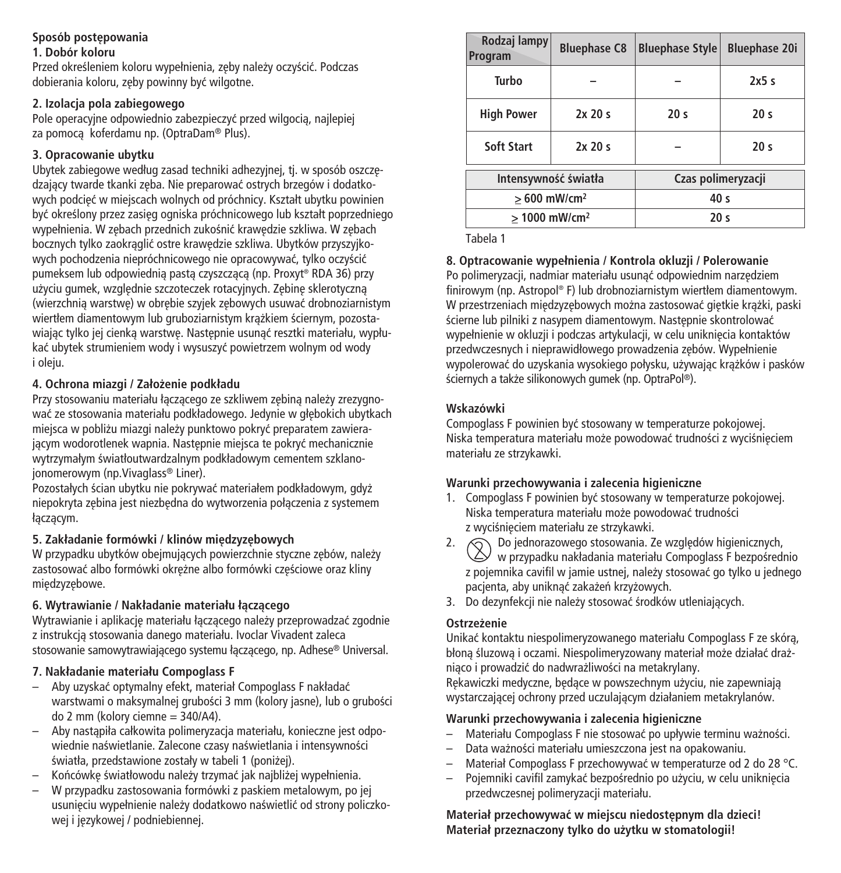### **Sposób postepowania**

#### **1. Dobór koloru**

Przed określeniem koloru wypełnienia, zęby należy oczyścić. Podczas dobierania koloru, zeby powinny być wilgotne.

### **2. Izolacja pola zabiegowego**

Pole operacyjne odpowiednio zabezpieczyç przed wilgocià, najlepiej za pomocà koferdamu np. (OptraDam® Plus).

### **3. Opracowanie ubytku**

Ubytek zabiegowe według zasad techniki adhezyjnej, tj. w sposób oszczędzający twarde tkanki zeba. Nie preparować ostrych brzegów i dodatkowych podcięć w miejscach wolnych od próchnicy. Kształt ubytku powinien być określony przez zasieg ogniska próchnicowego lub kształt poprzedniego wypełnienia. W zebach przednich zukośnić krawedzie szkliwa. W zebach bocznych tylko zaokrąglić ostre krawędzie szkliwa. Ubytków przyszyjkowych pochodzenia niepróchnicowego nie opracowywać, tylko oczyścić pumeksem lub odpowiednią pastą czyszczącą (np. Proxyt® RDA 36) przy użyciu gumek, względnie szczoteczek rotacyjnych. Zębinę sklerotyczna (wierzchnia warstwe) w obrebie szyjek zebowych usuwać drobnoziarnistym wiertłem diamentowym lub gruboziarnistym krażkiem ściernym, pozostawiając tylko jej cienką warstwę. Następnie usunąć resztki materiału, wypłukaç ubytek strumieniem wody i wysuszyç powietrzem wolnym od wody i oleju.

### **4. Ochrona miazgi / Zało˝enie podkładu**

Przy stosowaniu materiału łączącego ze szkliwem zębiną należy zrezygnować ze stosowania materiału podkładowego. Jedynie w głebokich ubytkach miejsca w pobliżu miazgi należy punktowo pokryć preparatem zawierającym wodorotlenek wapnia. Następnie miejsca te pokryć mechanicznie wytrzymałym światłoutwardzalnym podkładowym cementem szklanojonomerowym (np.Vivaglass® Liner).

Pozostałych ścian ubytku nie pokrywać materiałem podkładowym, gdyż niepokryta zebina jest niezbedna do wytworzenia połaczenia z systemem łączącym.

### **5.** Zakładanie formówki / klinów miedzyzebowych

W przypadku ubytków obejmujących powierzchnie styczne zebów, należy zastosować albo formówki okreżne albo formówki cześciowe oraz kliny miedzyzebowe.

### **6. Wytrawianie / Nakładanie materiału łàczàcego**

Wytrawianie i aplikacje materiału łaczacego należy przeprowadzać zgodnie z instrukcjà stosowania danego materiału. Ivoclar Vivadent zaleca stosowanie samowytrawiającego systemu łączącego, np. Adhese® Universal.

### **7. Nakładanie materiału Compoglass F**

- Aby uzyskaç optymalny efekt, materiał Compoglass F nakładaç warstwami o maksymalnej grubości 3 mm (kolory jasne), lub o grubości do 2 mm (kolory ciemne = 340/A4).
- Aby nastàpiła całkowita polimeryzacja materiału, konieczne jest odpowiednie naświetlanie. Zalecone czasy naświetlania i intensywności światła, przedstawione zostały w tabeli 1 (poniżej).
- Końcówke światłowodu należy trzymać jak najbliżej wypełnienia.
- W przypadku zastosowania formówki z paskiem metalowym, po jej usunieciu wypełnienie należy dodatkowo naświetlić od strony policzkowej i językowej / podniebiennej.

| Rodzaj lampy<br>Program   | <b>Bluephase C8</b> | <b>Bluephase Style</b> | <b>Bluephase 20i</b> |
|---------------------------|---------------------|------------------------|----------------------|
| Turbo                     |                     |                        | 2x5s                 |
| <b>High Power</b>         | 2x20s               | 20 <sub>s</sub>        | 20 <sub>s</sub>      |
| Soft Start                | 2x20s               |                        | 20 <sub>s</sub>      |
| Intensywność światła      |                     | Czas polimeryzacji     |                      |
| $>600$ mW/cm <sup>2</sup> |                     | 40 <sub>s</sub>        |                      |
| > 1000 mW/cm <sup>2</sup> |                     | 20 <sub>s</sub>        |                      |

Tabela 1

#### **8. Optracowanie wypełnienia / Kontrola okluzji / Polerowanie**

Po polimeryzacji, nadmiar materiału usunać odpowiednim narzedziem finirowym (np. Astropol ® F) lub drobnoziarnistym wiertłem diamentowym. W przestrzeniach miedzyzebowych można zastosować gietkie krażki, paski ścierne lub pilniki z nasypem diamentowym. Następnie skontrolować wypełnienie w okluzji i podczas artykulacji, w celu unikniecja kontaktów przedwczesnych i nieprawidłowego prowadzenia zebów. Wypełnienie wypolerować do uzyskania wysokiego połysku, używając krażków i pasków ściernych a także silikonowych gumek (np. OptraPol®).

### **Wskazówki**

Compoglass F powinien być stosowany w temperaturze pokojowej. Niska temperatura materiału może powodować trudności z wyciśnieciem materiału ze strzykawki.

### **Warunki przechowywania i zalecenia higieniczne**

- 1. Compoglass F powinien być stosowany w temperaturze pokojowej. Niska temperatura materiału może powodować trudności z wyciśnieciem materiału ze strzykawki.
- 2.  $\bigcirc$  Do jednorazowego stosowania. Ze względów higienicznych,  $\vee$  w przypadku nakładania materiału Compoglass F bezpośrednio z pojemnika cavifil w jamie ustnej, należy stosować go tylko u jednego pacienta, aby uniknać zakażeń krzyżowych.
- 3. Do dezynfekcji nie należy stosować środków utleniających.

### **Ostrze˝enie**

Unikaç kontaktu niespolimeryzowanego materiału Compoglass F ze skórà, błona śluzowa i oczami. Niespolimeryzowany materiał może działać drażniaco i prowadzić do nadwrażliwości na metakrylany.

Rekawiczki medyczne, bedace w powszechnym użyciu, nie zapewniają wystarczajàcej ochrony przed uczulajàcym działaniem metakrylanów.

### **Warunki przechowywania i zalecenia higieniczne**

- Materiału Compoglass F nie stosować po upływie terminu ważności.
- Data wa˝noÊci materiału umieszczona jest na opakowaniu.
- Materiał Compoglass F przechowywaç w temperaturze od 2 do 28 °C.
- Pojemniki cavifil zamykać bezpośrednio po użyciu, w celu uniknięcia przedwczesnej polimeryzacji materiału.

**Materiał przechowywaç w miejscu niedost´pnym dla dzieci! Materiał przeznaczony tylko do u˝ytku w stomatologii!**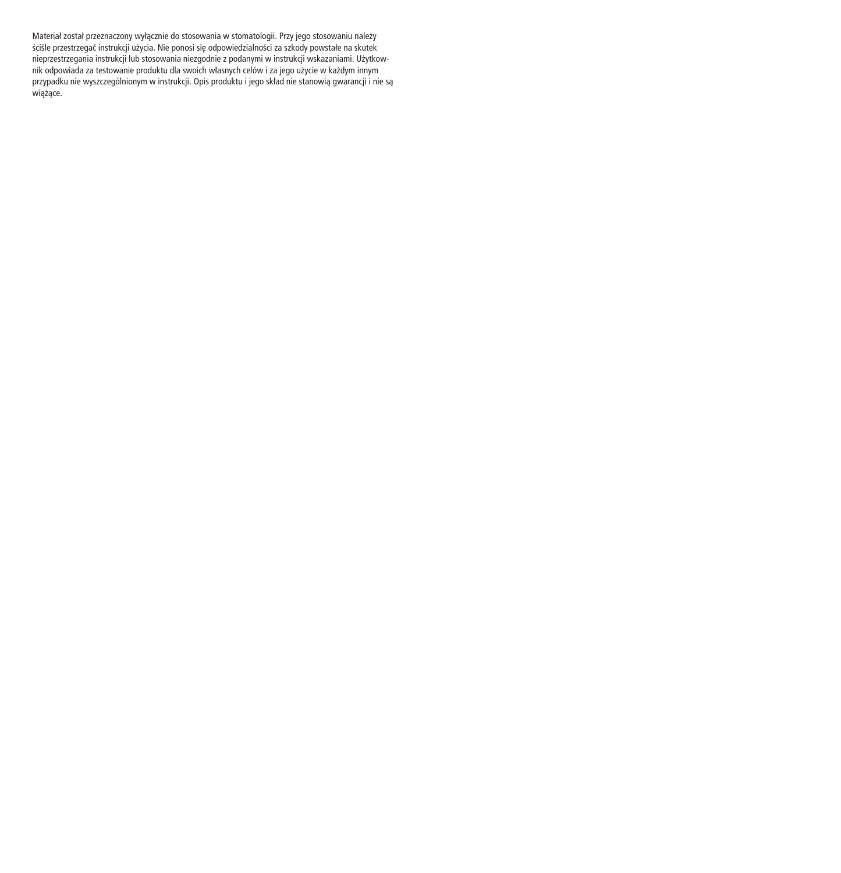Materiał został przeznaczony wyłącznie do stosowania w stomatologii. Przy jego stosowaniu należy ściśle przestrzegać instrukcji użycia. Nie ponosi się odpowiedzialności za szkody powstałe na skutek<br>nieprzestrzegania instrukcji lub stosowania niezgodnie z podanymi w instrukcji wskazaniami. Użytkownik odpowiada za testowanie produktu dla swoich własnych celów i za jego użycie w każdym innym przypadku nie wyszczególnionym w instrukcji. Opis produktu i jego skład nie stanowią gwarancji i nie są<br>wiążące.